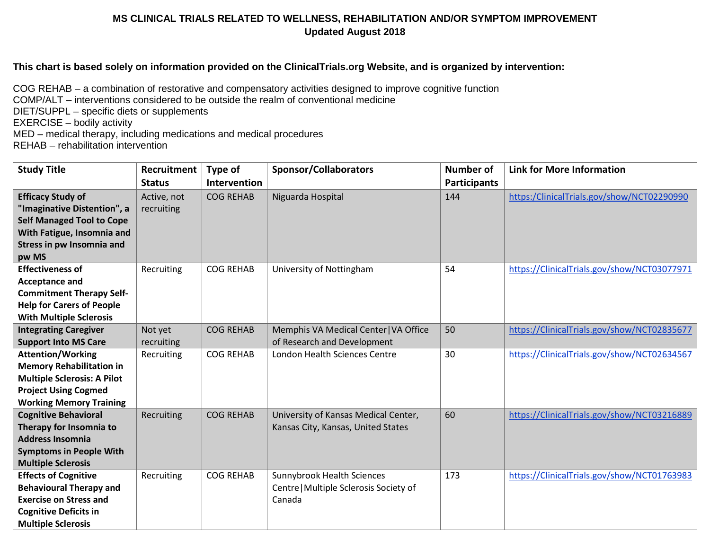## **MS CLINICAL TRIALS RELATED TO WELLNESS, REHABILITATION AND/OR SYMPTOM IMPROVEMENT Updated August 2018**

## **This chart is based solely on information provided on the ClinicalTrials.org Website, and is organized by intervention:**

COG REHAB – a combination of restorative and compensatory activities designed to improve cognitive function COMP/ALT – interventions considered to be outside the realm of conventional medicine DIET/SUPPL – specific diets or supplements EXERCISE – bodily activity

MED – medical therapy, including medications and medical procedures

REHAB – rehabilitation intervention

| <b>Study Title</b>                 | Recruitment   | Type of          | <b>Sponsor/Collaborators</b>           | <b>Number of</b>    | <b>Link for More Information</b>            |
|------------------------------------|---------------|------------------|----------------------------------------|---------------------|---------------------------------------------|
|                                    | <b>Status</b> | Intervention     |                                        | <b>Participants</b> |                                             |
| <b>Efficacy Study of</b>           | Active, not   | <b>COG REHAB</b> | Niguarda Hospital                      | 144                 | https:/ClinicalTrials.gov/show/NCT02290990  |
| "Imaginative Distention", a        | recruiting    |                  |                                        |                     |                                             |
| <b>Self Managed Tool to Cope</b>   |               |                  |                                        |                     |                                             |
| With Fatigue, Insomnia and         |               |                  |                                        |                     |                                             |
| <b>Stress in pw Insomnia and</b>   |               |                  |                                        |                     |                                             |
| pw MS                              |               |                  |                                        |                     |                                             |
| <b>Effectiveness of</b>            | Recruiting    | <b>COG REHAB</b> | University of Nottingham               | 54                  | https://ClinicalTrials.gov/show/NCT03077971 |
| <b>Acceptance and</b>              |               |                  |                                        |                     |                                             |
| <b>Commitment Therapy Self-</b>    |               |                  |                                        |                     |                                             |
| <b>Help for Carers of People</b>   |               |                  |                                        |                     |                                             |
| <b>With Multiple Sclerosis</b>     |               |                  |                                        |                     |                                             |
| <b>Integrating Caregiver</b>       | Not yet       | <b>COG REHAB</b> | Memphis VA Medical Center   VA Office  | 50                  | https://ClinicalTrials.gov/show/NCT02835677 |
| <b>Support Into MS Care</b>        | recruiting    |                  | of Research and Development            |                     |                                             |
| <b>Attention/Working</b>           | Recruiting    | <b>COG REHAB</b> | London Health Sciences Centre          | 30                  | https://ClinicalTrials.gov/show/NCT02634567 |
| <b>Memory Rehabilitation in</b>    |               |                  |                                        |                     |                                             |
| <b>Multiple Sclerosis: A Pilot</b> |               |                  |                                        |                     |                                             |
| <b>Project Using Cogmed</b>        |               |                  |                                        |                     |                                             |
| <b>Working Memory Training</b>     |               |                  |                                        |                     |                                             |
| <b>Cognitive Behavioral</b>        | Recruiting    | <b>COG REHAB</b> | University of Kansas Medical Center,   | 60                  | https://ClinicalTrials.gov/show/NCT03216889 |
| Therapy for Insomnia to            |               |                  | Kansas City, Kansas, United States     |                     |                                             |
| <b>Address Insomnia</b>            |               |                  |                                        |                     |                                             |
| <b>Symptoms in People With</b>     |               |                  |                                        |                     |                                             |
| <b>Multiple Sclerosis</b>          |               |                  |                                        |                     |                                             |
| <b>Effects of Cognitive</b>        | Recruiting    | <b>COG REHAB</b> | <b>Sunnybrook Health Sciences</b>      | 173                 | https://ClinicalTrials.gov/show/NCT01763983 |
| <b>Behavioural Therapy and</b>     |               |                  | Centre   Multiple Sclerosis Society of |                     |                                             |
| <b>Exercise on Stress and</b>      |               |                  | Canada                                 |                     |                                             |
| <b>Cognitive Deficits in</b>       |               |                  |                                        |                     |                                             |
| <b>Multiple Sclerosis</b>          |               |                  |                                        |                     |                                             |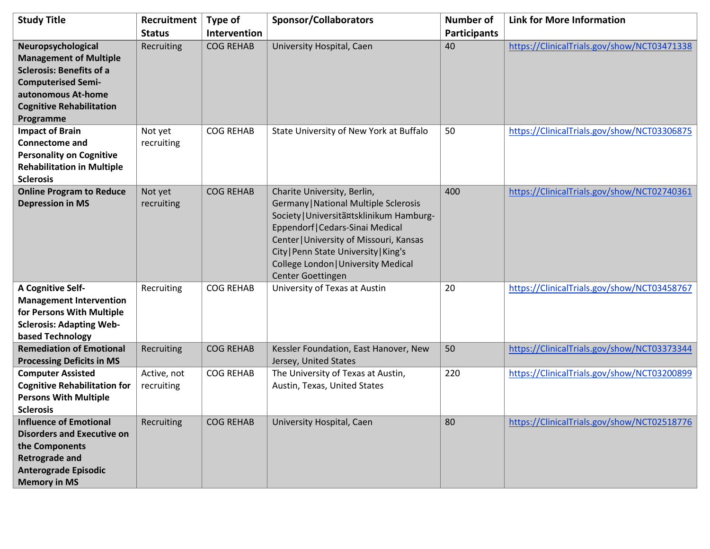| <b>Study Title</b>                                                                                                                                                                        | Recruitment               | Type of          | <b>Sponsor/Collaborators</b>                                                                                                                                                                                                                                                                                | <b>Number of</b>    | <b>Link for More Information</b>            |
|-------------------------------------------------------------------------------------------------------------------------------------------------------------------------------------------|---------------------------|------------------|-------------------------------------------------------------------------------------------------------------------------------------------------------------------------------------------------------------------------------------------------------------------------------------------------------------|---------------------|---------------------------------------------|
|                                                                                                                                                                                           | <b>Status</b>             | Intervention     |                                                                                                                                                                                                                                                                                                             | <b>Participants</b> |                                             |
| Neuropsychological<br><b>Management of Multiple</b><br><b>Sclerosis: Benefits of a</b><br><b>Computerised Semi-</b><br>autonomous At-home<br><b>Cognitive Rehabilitation</b><br>Programme | Recruiting                | <b>COG REHAB</b> | University Hospital, Caen                                                                                                                                                                                                                                                                                   | 40                  | https://ClinicalTrials.gov/show/NCT03471338 |
| <b>Impact of Brain</b><br><b>Connectome and</b><br><b>Personality on Cognitive</b><br><b>Rehabilitation in Multiple</b><br><b>Sclerosis</b>                                               | Not yet<br>recruiting     | <b>COG REHAB</b> | State University of New York at Buffalo                                                                                                                                                                                                                                                                     | 50                  | https://ClinicalTrials.gov/show/NCT03306875 |
| <b>Online Program to Reduce</b><br><b>Depression in MS</b>                                                                                                                                | Not yet<br>recruiting     | <b>COG REHAB</b> | Charite University, Berlin,<br><b>Germany   National Multiple Sclerosis</b><br>Society   Universitä¤tsklinikum Hamburg-<br>Eppendorf   Cedars-Sinai Medical<br>Center   University of Missouri, Kansas<br>City   Penn State University   King's<br>College London   University Medical<br>Center Goettingen | 400                 | https://ClinicalTrials.gov/show/NCT02740361 |
| A Cognitive Self-<br><b>Management Intervention</b><br>for Persons With Multiple<br><b>Sclerosis: Adapting Web-</b><br>based Technology                                                   | Recruiting                | <b>COG REHAB</b> | University of Texas at Austin                                                                                                                                                                                                                                                                               | 20                  | https://ClinicalTrials.gov/show/NCT03458767 |
| <b>Remediation of Emotional</b><br><b>Processing Deficits in MS</b>                                                                                                                       | Recruiting                | <b>COG REHAB</b> | Kessler Foundation, East Hanover, New<br>Jersey, United States                                                                                                                                                                                                                                              | 50                  | https://ClinicalTrials.gov/show/NCT03373344 |
| <b>Computer Assisted</b><br><b>Cognitive Rehabilitation for</b><br><b>Persons With Multiple</b><br><b>Sclerosis</b>                                                                       | Active, not<br>recruiting | <b>COG REHAB</b> | The University of Texas at Austin,<br>Austin, Texas, United States                                                                                                                                                                                                                                          | 220                 | https://ClinicalTrials.gov/show/NCT03200899 |
| <b>Influence of Emotional</b><br><b>Disorders and Executive on</b><br>the Components<br><b>Retrograde and</b><br><b>Anterograde Episodic</b><br><b>Memory in MS</b>                       | Recruiting                | <b>COG REHAB</b> | University Hospital, Caen                                                                                                                                                                                                                                                                                   | 80                  | https://ClinicalTrials.gov/show/NCT02518776 |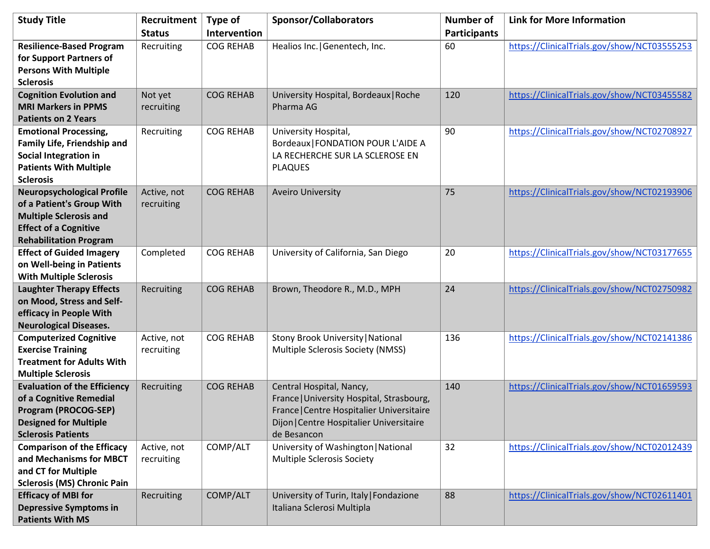| <b>Study Title</b>                                                                                                                                               | Recruitment               | Type of          | Sponsor/Collaborators                                                                                                                                                         | <b>Number of</b>    | <b>Link for More Information</b>            |
|------------------------------------------------------------------------------------------------------------------------------------------------------------------|---------------------------|------------------|-------------------------------------------------------------------------------------------------------------------------------------------------------------------------------|---------------------|---------------------------------------------|
|                                                                                                                                                                  | <b>Status</b>             | Intervention     |                                                                                                                                                                               | <b>Participants</b> |                                             |
| <b>Resilience-Based Program</b><br>for Support Partners of<br><b>Persons With Multiple</b><br><b>Sclerosis</b>                                                   | Recruiting                | <b>COG REHAB</b> | Healios Inc.   Genentech, Inc.                                                                                                                                                | 60                  | https://ClinicalTrials.gov/show/NCT03555253 |
| <b>Cognition Evolution and</b><br><b>MRI Markers in PPMS</b><br><b>Patients on 2 Years</b>                                                                       | Not yet<br>recruiting     | <b>COG REHAB</b> | University Hospital, Bordeaux   Roche<br>Pharma AG                                                                                                                            | 120                 | https://ClinicalTrials.gov/show/NCT03455582 |
| <b>Emotional Processing,</b><br>Family Life, Friendship and<br>Social Integration in<br><b>Patients With Multiple</b><br><b>Sclerosis</b>                        | Recruiting                | <b>COG REHAB</b> | University Hospital,<br>Bordeaux   FONDATION POUR L'AIDE A<br>LA RECHERCHE SUR LA SCLEROSE EN<br><b>PLAQUES</b>                                                               | 90                  | https://ClinicalTrials.gov/show/NCT02708927 |
| <b>Neuropsychological Profile</b><br>of a Patient's Group With<br><b>Multiple Sclerosis and</b><br><b>Effect of a Cognitive</b><br><b>Rehabilitation Program</b> | Active, not<br>recruiting | <b>COG REHAB</b> | <b>Aveiro University</b>                                                                                                                                                      | 75                  | https://ClinicalTrials.gov/show/NCT02193906 |
| <b>Effect of Guided Imagery</b><br>on Well-being in Patients<br><b>With Multiple Sclerosis</b>                                                                   | Completed                 | <b>COG REHAB</b> | University of California, San Diego                                                                                                                                           | 20                  | https://ClinicalTrials.gov/show/NCT03177655 |
| <b>Laughter Therapy Effects</b><br>on Mood, Stress and Self-<br>efficacy in People With<br><b>Neurological Diseases.</b>                                         | Recruiting                | <b>COG REHAB</b> | Brown, Theodore R., M.D., MPH                                                                                                                                                 | 24                  | https://ClinicalTrials.gov/show/NCT02750982 |
| <b>Computerized Cognitive</b><br><b>Exercise Training</b><br><b>Treatment for Adults With</b><br><b>Multiple Sclerosis</b>                                       | Active, not<br>recruiting | <b>COG REHAB</b> | Stony Brook University   National<br>Multiple Sclerosis Society (NMSS)                                                                                                        | 136                 | https://ClinicalTrials.gov/show/NCT02141386 |
| <b>Evaluation of the Efficiency</b><br>of a Cognitive Remedial<br>Program (PROCOG-SEP)<br><b>Designed for Multiple</b><br><b>Sclerosis Patients</b>              | Recruiting                | <b>COG REHAB</b> | Central Hospital, Nancy,<br>France   University Hospital, Strasbourg,<br>France   Centre Hospitalier Universitaire<br>Dijon   Centre Hospitalier Universitaire<br>de Besancon | 140                 | https://ClinicalTrials.gov/show/NCT01659593 |
| <b>Comparison of the Efficacy</b><br>and Mechanisms for MBCT<br>and CT for Multiple<br><b>Sclerosis (MS) Chronic Pain</b>                                        | Active, not<br>recruiting | COMP/ALT         | University of Washington   National<br>Multiple Sclerosis Society                                                                                                             | 32                  | https://ClinicalTrials.gov/show/NCT02012439 |
| <b>Efficacy of MBI for</b><br><b>Depressive Symptoms in</b><br><b>Patients With MS</b>                                                                           | Recruiting                | COMP/ALT         | University of Turin, Italy   Fondazione<br>Italiana Sclerosi Multipla                                                                                                         | 88                  | https://ClinicalTrials.gov/show/NCT02611401 |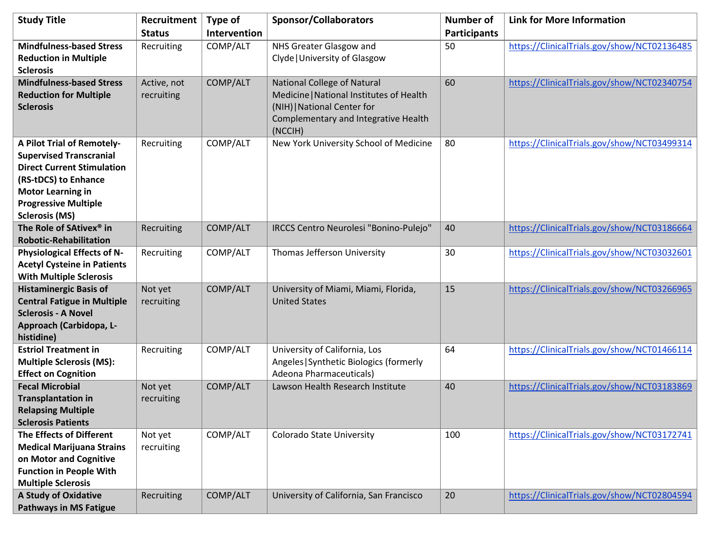| <b>Study Title</b>                                                                                                                                                                                            | Recruitment               | Type of      | Sponsor/Collaborators                                                                                                                                            | <b>Number of</b>    | <b>Link for More Information</b>            |
|---------------------------------------------------------------------------------------------------------------------------------------------------------------------------------------------------------------|---------------------------|--------------|------------------------------------------------------------------------------------------------------------------------------------------------------------------|---------------------|---------------------------------------------|
|                                                                                                                                                                                                               | <b>Status</b>             | Intervention |                                                                                                                                                                  | <b>Participants</b> |                                             |
| <b>Mindfulness-based Stress</b><br><b>Reduction in Multiple</b><br><b>Sclerosis</b>                                                                                                                           | Recruiting                | COMP/ALT     | NHS Greater Glasgow and<br>Clyde   University of Glasgow                                                                                                         | 50                  | https://ClinicalTrials.gov/show/NCT02136485 |
| <b>Mindfulness-based Stress</b><br><b>Reduction for Multiple</b><br><b>Sclerosis</b>                                                                                                                          | Active, not<br>recruiting | COMP/ALT     | <b>National College of Natural</b><br>Medicine   National Institutes of Health<br>(NIH)   National Center for<br>Complementary and Integrative Health<br>(NCCIH) | 60                  | https://ClinicalTrials.gov/show/NCT02340754 |
| A Pilot Trial of Remotely-<br><b>Supervised Transcranial</b><br><b>Direct Current Stimulation</b><br>(RS-tDCS) to Enhance<br><b>Motor Learning in</b><br><b>Progressive Multiple</b><br><b>Sclerosis (MS)</b> | Recruiting                | COMP/ALT     | New York University School of Medicine                                                                                                                           | 80                  | https://ClinicalTrials.gov/show/NCT03499314 |
| The Role of SAtivex <sup>®</sup> in<br><b>Robotic-Rehabilitation</b>                                                                                                                                          | Recruiting                | COMP/ALT     | IRCCS Centro Neurolesi "Bonino-Pulejo"                                                                                                                           | 40                  | https://ClinicalTrials.gov/show/NCT03186664 |
| <b>Physiological Effects of N-</b><br><b>Acetyl Cysteine in Patients</b><br><b>With Multiple Sclerosis</b>                                                                                                    | Recruiting                | COMP/ALT     | Thomas Jefferson University                                                                                                                                      | 30                  | https://ClinicalTrials.gov/show/NCT03032601 |
| <b>Histaminergic Basis of</b><br><b>Central Fatigue in Multiple</b><br><b>Sclerosis - A Novel</b><br>Approach (Carbidopa, L-<br>histidine)                                                                    | Not yet<br>recruiting     | COMP/ALT     | University of Miami, Miami, Florida,<br><b>United States</b>                                                                                                     | 15                  | https://ClinicalTrials.gov/show/NCT03266965 |
| <b>Estriol Treatment in</b><br><b>Multiple Sclerosis (MS):</b><br><b>Effect on Cognition</b>                                                                                                                  | Recruiting                | COMP/ALT     | University of California, Los<br>Angeles   Synthetic Biologics (formerly<br>Adeona Pharmaceuticals)                                                              | 64                  | https://ClinicalTrials.gov/show/NCT01466114 |
| <b>Fecal Microbial</b><br><b>Transplantation in</b><br><b>Relapsing Multiple</b><br><b>Sclerosis Patients</b>                                                                                                 | Not yet<br>recruiting     | COMP/ALT     | Lawson Health Research Institute                                                                                                                                 | 40                  | https://ClinicalTrials.gov/show/NCT03183869 |
| <b>The Effects of Different</b><br><b>Medical Marijuana Strains</b><br>on Motor and Cognitive<br><b>Function in People With</b><br><b>Multiple Sclerosis</b>                                                  | Not yet<br>recruiting     | COMP/ALT     | <b>Colorado State University</b>                                                                                                                                 | 100                 | https://ClinicalTrials.gov/show/NCT03172741 |
| <b>A Study of Oxidative</b><br><b>Pathways in MS Fatigue</b>                                                                                                                                                  | Recruiting                | COMP/ALT     | University of California, San Francisco                                                                                                                          | 20                  | https://ClinicalTrials.gov/show/NCT02804594 |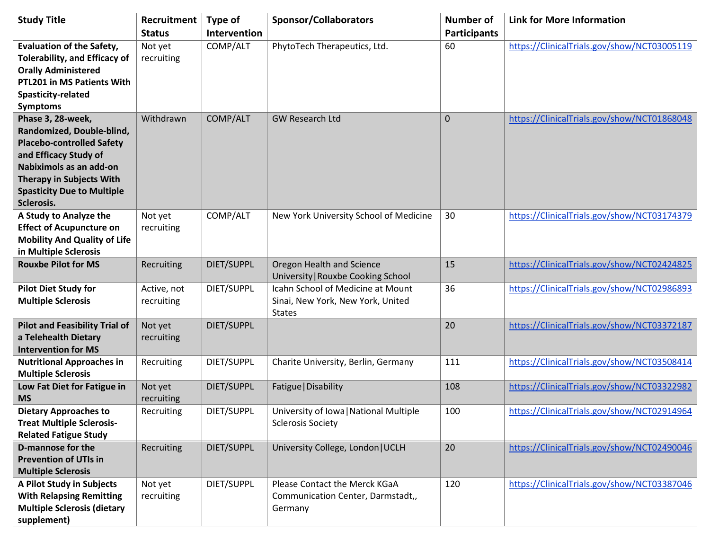| <b>Study Title</b>                                                     | Recruitment   | Type of      | Sponsor/Collaborators                  | <b>Number of</b>    | <b>Link for More Information</b>            |
|------------------------------------------------------------------------|---------------|--------------|----------------------------------------|---------------------|---------------------------------------------|
|                                                                        | <b>Status</b> | Intervention |                                        | <b>Participants</b> |                                             |
| <b>Evaluation of the Safety,</b>                                       | Not yet       | COMP/ALT     | PhytoTech Therapeutics, Ltd.           | 60                  | https://ClinicalTrials.gov/show/NCT03005119 |
| <b>Tolerability, and Efficacy of</b>                                   | recruiting    |              |                                        |                     |                                             |
| <b>Orally Administered</b>                                             |               |              |                                        |                     |                                             |
| PTL201 in MS Patients With                                             |               |              |                                        |                     |                                             |
| Spasticity-related                                                     |               |              |                                        |                     |                                             |
| <b>Symptoms</b>                                                        |               |              |                                        |                     |                                             |
| Phase 3, 28-week,                                                      | Withdrawn     | COMP/ALT     | <b>GW Research Ltd</b>                 | $\mathbf 0$         | https://ClinicalTrials.gov/show/NCT01868048 |
| Randomized, Double-blind,                                              |               |              |                                        |                     |                                             |
| <b>Placebo-controlled Safety</b>                                       |               |              |                                        |                     |                                             |
| and Efficacy Study of                                                  |               |              |                                        |                     |                                             |
| Nabiximols as an add-on                                                |               |              |                                        |                     |                                             |
| <b>Therapy in Subjects With</b>                                        |               |              |                                        |                     |                                             |
| <b>Spasticity Due to Multiple</b>                                      |               |              |                                        |                     |                                             |
| Sclerosis.                                                             |               |              |                                        |                     |                                             |
| A Study to Analyze the                                                 | Not yet       | COMP/ALT     | New York University School of Medicine | 30                  | https://ClinicalTrials.gov/show/NCT03174379 |
| <b>Effect of Acupuncture on</b><br><b>Mobility And Quality of Life</b> | recruiting    |              |                                        |                     |                                             |
| in Multiple Sclerosis                                                  |               |              |                                        |                     |                                             |
| <b>Rouxbe Pilot for MS</b>                                             | Recruiting    | DIET/SUPPL   | Oregon Health and Science              | 15                  | https://ClinicalTrials.gov/show/NCT02424825 |
|                                                                        |               |              | University   Rouxbe Cooking School     |                     |                                             |
| <b>Pilot Diet Study for</b>                                            | Active, not   | DIET/SUPPL   | Icahn School of Medicine at Mount      | 36                  | https://ClinicalTrials.gov/show/NCT02986893 |
| <b>Multiple Sclerosis</b>                                              | recruiting    |              | Sinai, New York, New York, United      |                     |                                             |
|                                                                        |               |              | <b>States</b>                          |                     |                                             |
| <b>Pilot and Feasibility Trial of</b>                                  | Not yet       | DIET/SUPPL   |                                        | 20                  | https://ClinicalTrials.gov/show/NCT03372187 |
| a Telehealth Dietary                                                   | recruiting    |              |                                        |                     |                                             |
| <b>Intervention for MS</b>                                             |               |              |                                        |                     |                                             |
| <b>Nutritional Approaches in</b>                                       | Recruiting    | DIET/SUPPL   | Charite University, Berlin, Germany    | 111                 | https://ClinicalTrials.gov/show/NCT03508414 |
| <b>Multiple Sclerosis</b>                                              |               |              |                                        |                     |                                             |
| Low Fat Diet for Fatigue in                                            | Not yet       | DIET/SUPPL   | Fatigue   Disability                   | 108                 | https://ClinicalTrials.gov/show/NCT03322982 |
| <b>MS</b>                                                              | recruiting    |              |                                        |                     |                                             |
| <b>Dietary Approaches to</b>                                           | Recruiting    | DIET/SUPPL   | University of Iowa   National Multiple | 100                 | https://ClinicalTrials.gov/show/NCT02914964 |
| <b>Treat Multiple Sclerosis-</b>                                       |               |              | <b>Sclerosis Society</b>               |                     |                                             |
| <b>Related Fatigue Study</b>                                           |               |              |                                        |                     |                                             |
| <b>D-mannose for the</b>                                               | Recruiting    | DIET/SUPPL   | University College, London   UCLH      | 20                  | https://ClinicalTrials.gov/show/NCT02490046 |
| <b>Prevention of UTIs in</b>                                           |               |              |                                        |                     |                                             |
| <b>Multiple Sclerosis</b>                                              |               |              |                                        |                     |                                             |
| A Pilot Study in Subjects                                              | Not yet       | DIET/SUPPL   | Please Contact the Merck KGaA          | 120                 | https://ClinicalTrials.gov/show/NCT03387046 |
| <b>With Relapsing Remitting</b>                                        | recruiting    |              | Communication Center, Darmstadt,,      |                     |                                             |
| <b>Multiple Sclerosis (dietary</b>                                     |               |              | Germany                                |                     |                                             |
| supplement)                                                            |               |              |                                        |                     |                                             |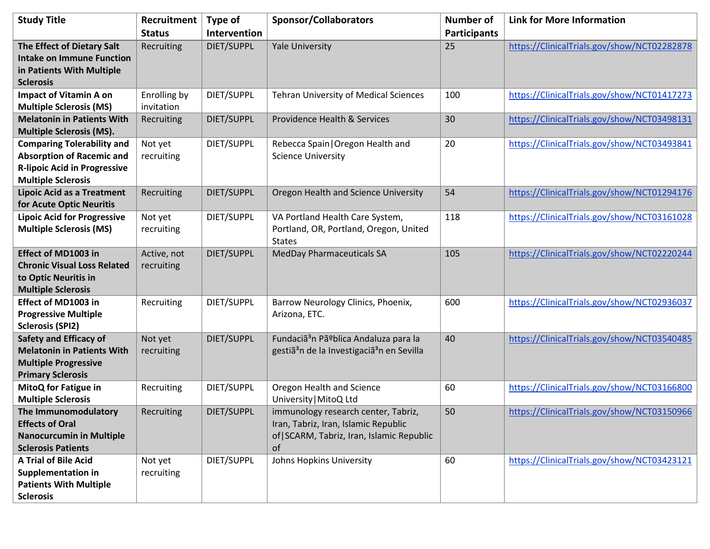| <b>Study Title</b>                                                                                                                        | Recruitment                | Type of      | Sponsor/Collaborators                                                                                                           | <b>Number of</b>    | <b>Link for More Information</b>            |
|-------------------------------------------------------------------------------------------------------------------------------------------|----------------------------|--------------|---------------------------------------------------------------------------------------------------------------------------------|---------------------|---------------------------------------------|
|                                                                                                                                           | <b>Status</b>              | Intervention |                                                                                                                                 | <b>Participants</b> |                                             |
| The Effect of Dietary Salt<br><b>Intake on Immune Function</b><br>in Patients With Multiple<br><b>Sclerosis</b>                           | Recruiting                 | DIET/SUPPL   | <b>Yale University</b>                                                                                                          | 25                  | https://ClinicalTrials.gov/show/NCT02282878 |
| <b>Impact of Vitamin A on</b><br><b>Multiple Sclerosis (MS)</b>                                                                           | Enrolling by<br>invitation | DIET/SUPPL   | Tehran University of Medical Sciences                                                                                           | 100                 | https://ClinicalTrials.gov/show/NCT01417273 |
| <b>Melatonin in Patients With</b><br><b>Multiple Sclerosis (MS).</b>                                                                      | Recruiting                 | DIET/SUPPL   | Providence Health & Services                                                                                                    | 30                  | https://ClinicalTrials.gov/show/NCT03498131 |
| <b>Comparing Tolerability and</b><br><b>Absorption of Racemic and</b><br><b>R-lipoic Acid in Progressive</b><br><b>Multiple Sclerosis</b> | Not yet<br>recruiting      | DIET/SUPPL   | Rebecca Spain   Oregon Health and<br><b>Science University</b>                                                                  | 20                  | https://ClinicalTrials.gov/show/NCT03493841 |
| <b>Lipoic Acid as a Treatment</b><br>for Acute Optic Neuritis                                                                             | Recruiting                 | DIET/SUPPL   | Oregon Health and Science University                                                                                            | 54                  | https://ClinicalTrials.gov/show/NCT01294176 |
| <b>Lipoic Acid for Progressive</b><br><b>Multiple Sclerosis (MS)</b>                                                                      | Not yet<br>recruiting      | DIET/SUPPL   | VA Portland Health Care System,<br>Portland, OR, Portland, Oregon, United<br><b>States</b>                                      | 118                 | https://ClinicalTrials.gov/show/NCT03161028 |
| Effect of MD1003 in<br><b>Chronic Visual Loss Related</b><br>to Optic Neuritis in<br><b>Multiple Sclerosis</b>                            | Active, not<br>recruiting  | DIET/SUPPL   | <b>MedDay Pharmaceuticals SA</b>                                                                                                | 105                 | https://ClinicalTrials.gov/show/NCT02220244 |
| Effect of MD1003 in<br><b>Progressive Multiple</b><br><b>Sclerosis (SPI2)</b>                                                             | Recruiting                 | DIET/SUPPL   | Barrow Neurology Clinics, Phoenix,<br>Arizona, ETC.                                                                             | 600                 | https://ClinicalTrials.gov/show/NCT02936037 |
| <b>Safety and Efficacy of</b><br><b>Melatonin in Patients With</b><br><b>Multiple Progressive</b><br><b>Primary Sclerosis</b>             | Not yet<br>recruiting      | DIET/SUPPL   | Fundaciã <sup>3</sup> n P㺠blica Andaluza para la<br>gestiã <sup>3</sup> n de la Investigaciã <sup>3</sup> n en Sevilla          | 40                  | https://ClinicalTrials.gov/show/NCT03540485 |
| MitoQ for Fatigue in<br><b>Multiple Sclerosis</b>                                                                                         | Recruiting                 | DIET/SUPPL   | Oregon Health and Science<br>University   MitoQ Ltd                                                                             | 60                  | https://ClinicalTrials.gov/show/NCT03166800 |
| The Immunomodulatory<br><b>Effects of Oral</b><br><b>Nanocurcumin in Multiple</b><br><b>Sclerosis Patients</b>                            | Recruiting                 | DIET/SUPPL   | immunology research center, Tabriz,<br>Iran, Tabriz, Iran, Islamic Republic<br>of   SCARM, Tabriz, Iran, Islamic Republic<br>of | 50                  | https://ClinicalTrials.gov/show/NCT03150966 |
| <b>A Trial of Bile Acid</b><br><b>Supplementation in</b><br><b>Patients With Multiple</b><br><b>Sclerosis</b>                             | Not yet<br>recruiting      | DIET/SUPPL   | Johns Hopkins University                                                                                                        | 60                  | https://ClinicalTrials.gov/show/NCT03423121 |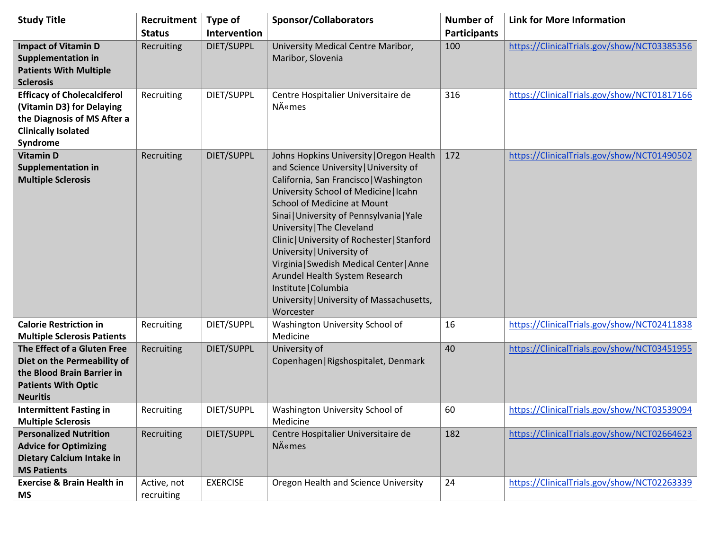| <b>Study Title</b>                                                                                                                        | Recruitment               | Type of             | Sponsor/Collaborators                                                                                                                                                                                                                                                                                                                                                                                                                                                                                                               | <b>Number of</b>    | <b>Link for More Information</b>            |
|-------------------------------------------------------------------------------------------------------------------------------------------|---------------------------|---------------------|-------------------------------------------------------------------------------------------------------------------------------------------------------------------------------------------------------------------------------------------------------------------------------------------------------------------------------------------------------------------------------------------------------------------------------------------------------------------------------------------------------------------------------------|---------------------|---------------------------------------------|
|                                                                                                                                           | <b>Status</b>             | <b>Intervention</b> |                                                                                                                                                                                                                                                                                                                                                                                                                                                                                                                                     | <b>Participants</b> |                                             |
| <b>Impact of Vitamin D</b><br><b>Supplementation in</b><br><b>Patients With Multiple</b><br><b>Sclerosis</b>                              | Recruiting                | DIET/SUPPL          | University Medical Centre Maribor,<br>Maribor, Slovenia                                                                                                                                                                                                                                                                                                                                                                                                                                                                             | 100                 | https://ClinicalTrials.gov/show/NCT03385356 |
| <b>Efficacy of Cholecalciferol</b><br>(Vitamin D3) for Delaying<br>the Diagnosis of MS After a<br><b>Clinically Isolated</b><br>Syndrome  | Recruiting                | DIET/SUPPL          | Centre Hospitalier Universitaire de<br><b>NÄ</b> «mes                                                                                                                                                                                                                                                                                                                                                                                                                                                                               | 316                 | https://ClinicalTrials.gov/show/NCT01817166 |
| <b>Vitamin D</b><br><b>Supplementation in</b><br><b>Multiple Sclerosis</b>                                                                | Recruiting                | DIET/SUPPL          | Johns Hopkins University   Oregon Health<br>and Science University   University of<br>California, San Francisco   Washington<br>University School of Medicine   Icahn<br><b>School of Medicine at Mount</b><br>Sinai   University of Pennsylvania   Yale<br>University   The Cleveland<br>Clinic   University of Rochester   Stanford<br>University   University of<br>Virginia   Swedish Medical Center   Anne<br>Arundel Health System Research<br>Institute   Columbia<br>University   University of Massachusetts,<br>Worcester | 172                 | https://ClinicalTrials.gov/show/NCT01490502 |
| <b>Calorie Restriction in</b><br><b>Multiple Sclerosis Patients</b>                                                                       | Recruiting                | DIET/SUPPL          | Washington University School of<br>Medicine                                                                                                                                                                                                                                                                                                                                                                                                                                                                                         | 16                  | https://ClinicalTrials.gov/show/NCT02411838 |
| The Effect of a Gluten Free<br>Diet on the Permeability of<br>the Blood Brain Barrier in<br><b>Patients With Optic</b><br><b>Neuritis</b> | Recruiting                | DIET/SUPPL          | University of<br>Copenhagen   Rigshospitalet, Denmark                                                                                                                                                                                                                                                                                                                                                                                                                                                                               | 40                  | https://ClinicalTrials.gov/show/NCT03451955 |
| <b>Intermittent Fasting in</b><br><b>Multiple Sclerosis</b>                                                                               | Recruiting                | DIET/SUPPL          | Washington University School of<br>Medicine                                                                                                                                                                                                                                                                                                                                                                                                                                                                                         | 60                  | https://ClinicalTrials.gov/show/NCT03539094 |
| <b>Personalized Nutrition</b><br><b>Advice for Optimizing</b><br>Dietary Calcium Intake in<br><b>MS Patients</b>                          | Recruiting                | DIET/SUPPL          | Centre Hospitalier Universitaire de<br><b>NÄ</b> «mes                                                                                                                                                                                                                                                                                                                                                                                                                                                                               | 182                 | https://ClinicalTrials.gov/show/NCT02664623 |
| <b>Exercise &amp; Brain Health in</b><br><b>MS</b>                                                                                        | Active, not<br>recruiting | <b>EXERCISE</b>     | Oregon Health and Science University                                                                                                                                                                                                                                                                                                                                                                                                                                                                                                | 24                  | https://ClinicalTrials.gov/show/NCT02263339 |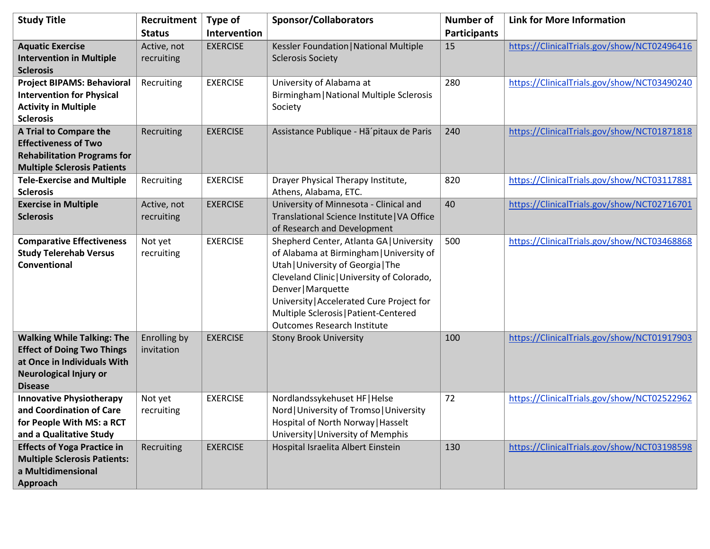| <b>Study Title</b>                  | Recruitment   | Type of         | Sponsor/Collaborators                       | <b>Number of</b>    | <b>Link for More Information</b>            |
|-------------------------------------|---------------|-----------------|---------------------------------------------|---------------------|---------------------------------------------|
|                                     | <b>Status</b> | Intervention    |                                             | <b>Participants</b> |                                             |
| <b>Aquatic Exercise</b>             | Active, not   | <b>EXERCISE</b> | Kessler Foundation   National Multiple      | 15                  | https://ClinicalTrials.gov/show/NCT02496416 |
| <b>Intervention in Multiple</b>     | recruiting    |                 | <b>Sclerosis Society</b>                    |                     |                                             |
| <b>Sclerosis</b>                    |               |                 |                                             |                     |                                             |
| <b>Project BIPAMS: Behavioral</b>   | Recruiting    | <b>EXERCISE</b> | University of Alabama at                    | 280                 | https://ClinicalTrials.gov/show/NCT03490240 |
| <b>Intervention for Physical</b>    |               |                 | Birmingham   National Multiple Sclerosis    |                     |                                             |
| <b>Activity in Multiple</b>         |               |                 | Society                                     |                     |                                             |
| <b>Sclerosis</b>                    |               |                 |                                             |                     |                                             |
| A Trial to Compare the              | Recruiting    | <b>EXERCISE</b> | Assistance Publique - Hã pitaux de Paris    | 240                 | https://ClinicalTrials.gov/show/NCT01871818 |
| <b>Effectiveness of Two</b>         |               |                 |                                             |                     |                                             |
| <b>Rehabilitation Programs for</b>  |               |                 |                                             |                     |                                             |
| <b>Multiple Sclerosis Patients</b>  |               |                 |                                             |                     |                                             |
| <b>Tele-Exercise and Multiple</b>   | Recruiting    | <b>EXERCISE</b> | Drayer Physical Therapy Institute,          | 820                 | https://ClinicalTrials.gov/show/NCT03117881 |
| <b>Sclerosis</b>                    |               |                 | Athens, Alabama, ETC.                       |                     |                                             |
| <b>Exercise in Multiple</b>         | Active, not   | <b>EXERCISE</b> | University of Minnesota - Clinical and      | 40                  | https://ClinicalTrials.gov/show/NCT02716701 |
| <b>Sclerosis</b>                    | recruiting    |                 | Translational Science Institute   VA Office |                     |                                             |
|                                     |               |                 | of Research and Development                 |                     |                                             |
| <b>Comparative Effectiveness</b>    | Not yet       | <b>EXERCISE</b> | Shepherd Center, Atlanta GA   University    | 500                 | https://ClinicalTrials.gov/show/NCT03468868 |
| <b>Study Telerehab Versus</b>       | recruiting    |                 | of Alabama at Birmingham   University of    |                     |                                             |
| Conventional                        |               |                 | Utah   University of Georgia   The          |                     |                                             |
|                                     |               |                 | Cleveland Clinic   University of Colorado,  |                     |                                             |
|                                     |               |                 | Denver   Marquette                          |                     |                                             |
|                                     |               |                 | University   Accelerated Cure Project for   |                     |                                             |
|                                     |               |                 | Multiple Sclerosis   Patient-Centered       |                     |                                             |
|                                     |               |                 | <b>Outcomes Research Institute</b>          |                     |                                             |
| <b>Walking While Talking: The</b>   | Enrolling by  | <b>EXERCISE</b> | <b>Stony Brook University</b>               | 100                 | https://ClinicalTrials.gov/show/NCT01917903 |
| <b>Effect of Doing Two Things</b>   | invitation    |                 |                                             |                     |                                             |
| at Once in Individuals With         |               |                 |                                             |                     |                                             |
| Neurological Injury or              |               |                 |                                             |                     |                                             |
| <b>Disease</b>                      |               |                 |                                             |                     |                                             |
| <b>Innovative Physiotherapy</b>     | Not yet       | <b>EXERCISE</b> | Nordlandssykehuset HF   Helse               | 72                  | https://ClinicalTrials.gov/show/NCT02522962 |
| and Coordination of Care            | recruiting    |                 | Nord   University of Tromso   University    |                     |                                             |
| for People With MS: a RCT           |               |                 | Hospital of North Norway   Hasselt          |                     |                                             |
| and a Qualitative Study             |               |                 | University   University of Memphis          |                     |                                             |
| <b>Effects of Yoga Practice in</b>  | Recruiting    | <b>EXERCISE</b> | Hospital Israelita Albert Einstein          | 130                 | https://ClinicalTrials.gov/show/NCT03198598 |
| <b>Multiple Sclerosis Patients:</b> |               |                 |                                             |                     |                                             |
| a Multidimensional                  |               |                 |                                             |                     |                                             |
| Approach                            |               |                 |                                             |                     |                                             |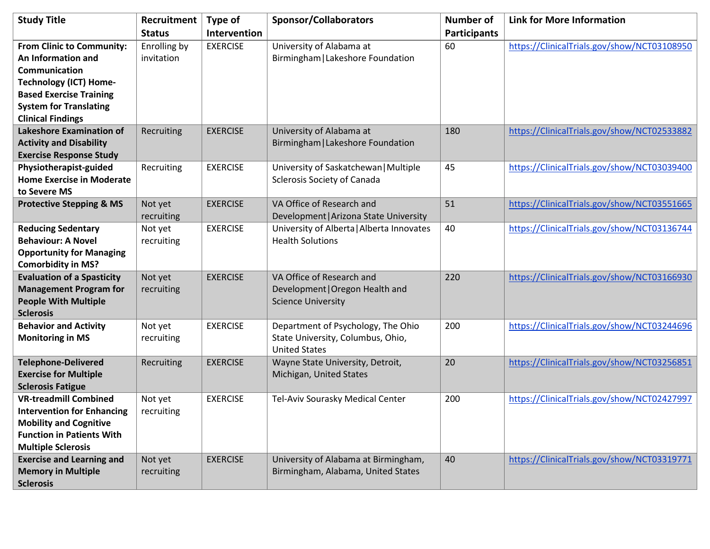| <b>Study Title</b>                                          | Recruitment           | Type of         | Sponsor/Collaborators                     | <b>Number of</b>    | <b>Link for More Information</b>            |
|-------------------------------------------------------------|-----------------------|-----------------|-------------------------------------------|---------------------|---------------------------------------------|
|                                                             | <b>Status</b>         | Intervention    |                                           | <b>Participants</b> |                                             |
| From Clinic to Community:                                   | Enrolling by          | <b>EXERCISE</b> | University of Alabama at                  | 60                  | https://ClinicalTrials.gov/show/NCT03108950 |
| An Information and                                          | invitation            |                 | Birmingham   Lakeshore Foundation         |                     |                                             |
| Communication                                               |                       |                 |                                           |                     |                                             |
| <b>Technology (ICT) Home-</b>                               |                       |                 |                                           |                     |                                             |
| <b>Based Exercise Training</b>                              |                       |                 |                                           |                     |                                             |
| <b>System for Translating</b>                               |                       |                 |                                           |                     |                                             |
| <b>Clinical Findings</b><br><b>Lakeshore Examination of</b> |                       | <b>EXERCISE</b> | University of Alabama at                  | 180                 | https://ClinicalTrials.gov/show/NCT02533882 |
| <b>Activity and Disability</b>                              | Recruiting            |                 | Birmingham   Lakeshore Foundation         |                     |                                             |
| <b>Exercise Response Study</b>                              |                       |                 |                                           |                     |                                             |
| Physiotherapist-guided                                      | Recruiting            | <b>EXERCISE</b> | University of Saskatchewan   Multiple     | 45                  | https://ClinicalTrials.gov/show/NCT03039400 |
| <b>Home Exercise in Moderate</b>                            |                       |                 | <b>Sclerosis Society of Canada</b>        |                     |                                             |
| to Severe MS                                                |                       |                 |                                           |                     |                                             |
| <b>Protective Stepping &amp; MS</b>                         | Not yet               | <b>EXERCISE</b> | VA Office of Research and                 | 51                  | https://ClinicalTrials.gov/show/NCT03551665 |
|                                                             | recruiting            |                 | Development   Arizona State University    |                     |                                             |
| <b>Reducing Sedentary</b>                                   | Not yet               | <b>EXERCISE</b> | University of Alberta   Alberta Innovates | 40                  | https://ClinicalTrials.gov/show/NCT03136744 |
| <b>Behaviour: A Novel</b>                                   | recruiting            |                 | <b>Health Solutions</b>                   |                     |                                             |
| <b>Opportunity for Managing</b>                             |                       |                 |                                           |                     |                                             |
| <b>Comorbidity in MS?</b>                                   |                       |                 |                                           |                     |                                             |
| <b>Evaluation of a Spasticity</b>                           | Not yet               | <b>EXERCISE</b> | VA Office of Research and                 | 220                 | https://ClinicalTrials.gov/show/NCT03166930 |
| <b>Management Program for</b>                               | recruiting            |                 | Development   Oregon Health and           |                     |                                             |
| <b>People With Multiple</b>                                 |                       |                 | <b>Science University</b>                 |                     |                                             |
| <b>Sclerosis</b>                                            |                       | <b>EXERCISE</b> | Department of Psychology, The Ohio        | 200                 | https://ClinicalTrials.gov/show/NCT03244696 |
| <b>Behavior and Activity</b><br><b>Monitoring in MS</b>     | Not yet<br>recruiting |                 | State University, Columbus, Ohio,         |                     |                                             |
|                                                             |                       |                 | <b>United States</b>                      |                     |                                             |
| <b>Telephone-Delivered</b>                                  | Recruiting            | <b>EXERCISE</b> | Wayne State University, Detroit,          | 20                  | https://ClinicalTrials.gov/show/NCT03256851 |
| <b>Exercise for Multiple</b>                                |                       |                 | Michigan, United States                   |                     |                                             |
| <b>Sclerosis Fatigue</b>                                    |                       |                 |                                           |                     |                                             |
| <b>VR-treadmill Combined</b>                                | Not yet               | <b>EXERCISE</b> | Tel-Aviv Sourasky Medical Center          | 200                 | https://ClinicalTrials.gov/show/NCT02427997 |
| <b>Intervention for Enhancing</b>                           | recruiting            |                 |                                           |                     |                                             |
| <b>Mobility and Cognitive</b>                               |                       |                 |                                           |                     |                                             |
| <b>Function in Patients With</b>                            |                       |                 |                                           |                     |                                             |
| <b>Multiple Sclerosis</b>                                   |                       |                 |                                           |                     |                                             |
| <b>Exercise and Learning and</b>                            | Not yet               | <b>EXERCISE</b> | University of Alabama at Birmingham,      | 40                  | https://ClinicalTrials.gov/show/NCT03319771 |
| <b>Memory in Multiple</b>                                   | recruiting            |                 | Birmingham, Alabama, United States        |                     |                                             |
| <b>Sclerosis</b>                                            |                       |                 |                                           |                     |                                             |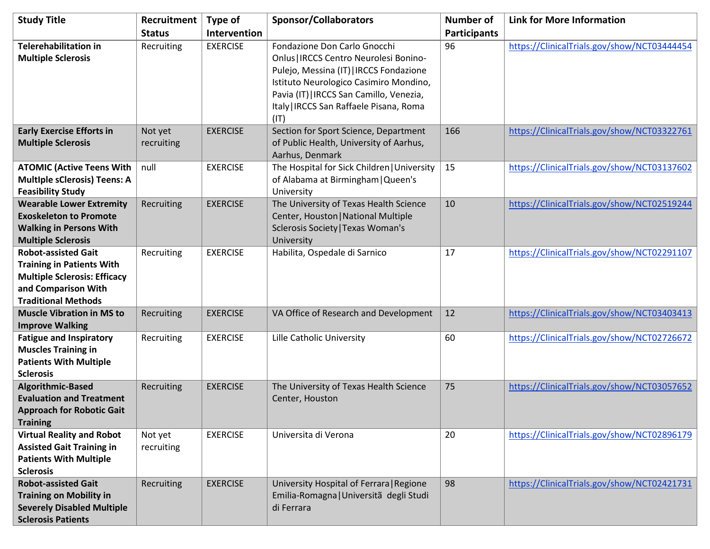| <b>Study Title</b>                                                                                                                                         | Recruitment           | Type of         | Sponsor/Collaborators                                                                                                                                                                                                                                      | <b>Number of</b>    | <b>Link for More Information</b>            |
|------------------------------------------------------------------------------------------------------------------------------------------------------------|-----------------------|-----------------|------------------------------------------------------------------------------------------------------------------------------------------------------------------------------------------------------------------------------------------------------------|---------------------|---------------------------------------------|
|                                                                                                                                                            | <b>Status</b>         | Intervention    |                                                                                                                                                                                                                                                            | <b>Participants</b> |                                             |
| <b>Telerehabilitation in</b><br><b>Multiple Sclerosis</b>                                                                                                  | Recruiting            | <b>EXERCISE</b> | Fondazione Don Carlo Gnocchi<br>Onlus   IRCCS Centro Neurolesi Bonino-<br>Pulejo, Messina (IT)   IRCCS Fondazione<br>Istituto Neurologico Casimiro Mondino,<br>Pavia (IT)   IRCCS San Camillo, Venezia,<br>Italy   IRCCS San Raffaele Pisana, Roma<br>(IT) | 96                  | https://ClinicalTrials.gov/show/NCT03444454 |
| <b>Early Exercise Efforts in</b><br><b>Multiple Sclerosis</b>                                                                                              | Not yet<br>recruiting | <b>EXERCISE</b> | Section for Sport Science, Department<br>of Public Health, University of Aarhus,<br>Aarhus, Denmark                                                                                                                                                        | 166                 | https://ClinicalTrials.gov/show/NCT03322761 |
| <b>ATOMIC (Active Teens With</b><br><b>Multiple sClerosis) Teens: A</b><br><b>Feasibility Study</b>                                                        | null                  | <b>EXERCISE</b> | The Hospital for Sick Children   University<br>of Alabama at Birmingham   Queen's<br>University                                                                                                                                                            | 15                  | https://ClinicalTrials.gov/show/NCT03137602 |
| <b>Wearable Lower Extremity</b><br><b>Exoskeleton to Promote</b><br><b>Walking in Persons With</b><br><b>Multiple Sclerosis</b>                            | Recruiting            | <b>EXERCISE</b> | The University of Texas Health Science<br>Center, Houston   National Multiple<br>Sclerosis Society   Texas Woman's<br>University                                                                                                                           | 10                  | https://ClinicalTrials.gov/show/NCT02519244 |
| <b>Robot-assisted Gait</b><br><b>Training in Patients With</b><br><b>Multiple Sclerosis: Efficacy</b><br>and Comparison With<br><b>Traditional Methods</b> | Recruiting            | <b>EXERCISE</b> | Habilita, Ospedale di Sarnico                                                                                                                                                                                                                              | 17                  | https://ClinicalTrials.gov/show/NCT02291107 |
| <b>Muscle Vibration in MS to</b><br><b>Improve Walking</b>                                                                                                 | Recruiting            | <b>EXERCISE</b> | VA Office of Research and Development                                                                                                                                                                                                                      | 12                  | https://ClinicalTrials.gov/show/NCT03403413 |
| <b>Fatigue and Inspiratory</b><br><b>Muscles Training in</b><br><b>Patients With Multiple</b><br><b>Sclerosis</b>                                          | Recruiting            | <b>EXERCISE</b> | Lille Catholic University                                                                                                                                                                                                                                  | 60                  | https://ClinicalTrials.gov/show/NCT02726672 |
| <b>Algorithmic-Based</b><br><b>Evaluation and Treatment</b><br><b>Approach for Robotic Gait</b><br><b>Training</b>                                         | Recruiting            | <b>EXERCISE</b> | The University of Texas Health Science<br>Center, Houston                                                                                                                                                                                                  | 75                  | https://ClinicalTrials.gov/show/NCT03057652 |
| <b>Virtual Reality and Robot</b><br><b>Assisted Gait Training in</b><br><b>Patients With Multiple</b><br><b>Sclerosis</b>                                  | Not yet<br>recruiting | <b>EXERCISE</b> | Universita di Verona                                                                                                                                                                                                                                       | 20                  | https://ClinicalTrials.gov/show/NCT02896179 |
| <b>Robot-assisted Gait</b><br><b>Training on Mobility in</b><br><b>Severely Disabled Multiple</b><br><b>Sclerosis Patients</b>                             | Recruiting            | <b>EXERCISE</b> | University Hospital of Ferrara   Regione<br>Emilia-Romagna   Universitã degli Studi<br>di Ferrara                                                                                                                                                          | 98                  | https://ClinicalTrials.gov/show/NCT02421731 |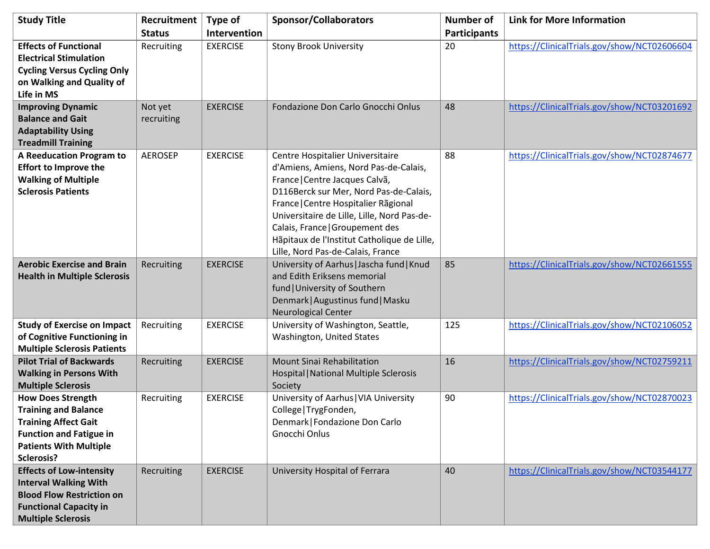| <b>Study Title</b>                                                                                                                                                      | Recruitment           | Type of         | Sponsor/Collaborators                                                                                                                                                                                                                                                                                                                                               | <b>Number of</b>    | <b>Link for More Information</b>            |
|-------------------------------------------------------------------------------------------------------------------------------------------------------------------------|-----------------------|-----------------|---------------------------------------------------------------------------------------------------------------------------------------------------------------------------------------------------------------------------------------------------------------------------------------------------------------------------------------------------------------------|---------------------|---------------------------------------------|
|                                                                                                                                                                         | <b>Status</b>         | Intervention    |                                                                                                                                                                                                                                                                                                                                                                     | <b>Participants</b> |                                             |
| <b>Effects of Functional</b><br><b>Electrical Stimulation</b><br><b>Cycling Versus Cycling Only</b><br>on Walking and Quality of<br>Life in MS                          | Recruiting            | <b>EXERCISE</b> | <b>Stony Brook University</b>                                                                                                                                                                                                                                                                                                                                       | 20                  | https://ClinicalTrials.gov/show/NCT02606604 |
| <b>Improving Dynamic</b><br><b>Balance and Gait</b><br><b>Adaptability Using</b><br><b>Treadmill Training</b>                                                           | Not yet<br>recruiting | <b>EXERCISE</b> | Fondazione Don Carlo Gnocchi Onlus                                                                                                                                                                                                                                                                                                                                  | 48                  | https://ClinicalTrials.gov/show/NCT03201692 |
| <b>A Reeducation Program to</b><br><b>Effort to Improve the</b><br><b>Walking of Multiple</b><br><b>Sclerosis Patients</b>                                              | <b>AEROSEP</b>        | <b>EXERCISE</b> | Centre Hospitalier Universitaire<br>d'Amiens, Amiens, Nord Pas-de-Calais,<br>France   Centre Jacques Calvã,<br>D116Berck sur Mer, Nord Pas-de-Calais,<br>France   Centre Hospitalier Rãgional<br>Universitaire de Lille, Lille, Nord Pas-de-<br>Calais, France   Groupement des<br>Hãpitaux de l'Institut Catholique de Lille,<br>Lille, Nord Pas-de-Calais, France | 88                  | https://ClinicalTrials.gov/show/NCT02874677 |
| <b>Aerobic Exercise and Brain</b><br><b>Health in Multiple Sclerosis</b>                                                                                                | Recruiting            | <b>EXERCISE</b> | University of Aarhus   Jascha fund   Knud<br>and Edith Eriksens memorial<br>fund   University of Southern<br>Denmark   Augustinus fund   Masku<br>Neurological Center                                                                                                                                                                                               | 85                  | https://ClinicalTrials.gov/show/NCT02661555 |
| <b>Study of Exercise on Impact</b><br>of Cognitive Functioning in<br><b>Multiple Sclerosis Patients</b>                                                                 | Recruiting            | <b>EXERCISE</b> | University of Washington, Seattle,<br>Washington, United States                                                                                                                                                                                                                                                                                                     | 125                 | https://ClinicalTrials.gov/show/NCT02106052 |
| <b>Pilot Trial of Backwards</b><br><b>Walking in Persons With</b><br><b>Multiple Sclerosis</b>                                                                          | Recruiting            | <b>EXERCISE</b> | <b>Mount Sinai Rehabilitation</b><br>Hospital   National Multiple Sclerosis<br>Society                                                                                                                                                                                                                                                                              | 16                  | https://ClinicalTrials.gov/show/NCT02759211 |
| <b>How Does Strength</b><br><b>Training and Balance</b><br><b>Training Affect Gait</b><br><b>Function and Fatigue in</b><br><b>Patients With Multiple</b><br>Sclerosis? | Recruiting            | <b>EXERCISE</b> | University of Aarhus   VIA University<br>College   TrygFonden,<br>Denmark   Fondazione Don Carlo<br>Gnocchi Onlus                                                                                                                                                                                                                                                   | 90                  | https://ClinicalTrials.gov/show/NCT02870023 |
| <b>Effects of Low-intensity</b><br><b>Interval Walking With</b><br><b>Blood Flow Restriction on</b><br><b>Functional Capacity in</b><br><b>Multiple Sclerosis</b>       | Recruiting            | <b>EXERCISE</b> | University Hospital of Ferrara                                                                                                                                                                                                                                                                                                                                      | 40                  | https://ClinicalTrials.gov/show/NCT03544177 |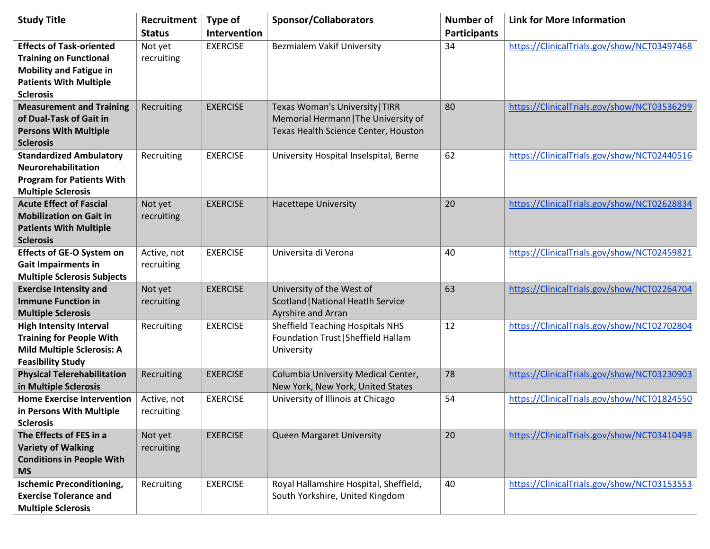| <b>Study Title</b>                                          | Recruitment   | Type of         | Sponsor/Collaborators                                                    | <b>Number of</b>    | <b>Link for More Information</b>            |
|-------------------------------------------------------------|---------------|-----------------|--------------------------------------------------------------------------|---------------------|---------------------------------------------|
|                                                             | <b>Status</b> | Intervention    |                                                                          | <b>Participants</b> |                                             |
| <b>Effects of Task-oriented</b>                             | Not yet       | <b>EXERCISE</b> | <b>Bezmialem Vakif University</b>                                        | 34                  | https://ClinicalTrials.gov/show/NCT03497468 |
| <b>Training on Functional</b>                               | recruiting    |                 |                                                                          |                     |                                             |
| <b>Mobility and Fatigue in</b>                              |               |                 |                                                                          |                     |                                             |
| <b>Patients With Multiple</b>                               |               |                 |                                                                          |                     |                                             |
| <b>Sclerosis</b>                                            |               |                 |                                                                          |                     |                                             |
| <b>Measurement and Training</b>                             | Recruiting    | <b>EXERCISE</b> | Texas Woman's University   TIRR                                          | 80                  | https://ClinicalTrials.gov/show/NCT03536299 |
| of Dual-Task of Gait in                                     |               |                 | Memorial Hermann   The University of                                     |                     |                                             |
| <b>Persons With Multiple</b>                                |               |                 | Texas Health Science Center, Houston                                     |                     |                                             |
| <b>Sclerosis</b>                                            |               |                 |                                                                          |                     |                                             |
| <b>Standardized Ambulatory</b><br>Neurorehabilitation       | Recruiting    | <b>EXERCISE</b> | University Hospital Inselspital, Berne                                   | 62                  | https://ClinicalTrials.gov/show/NCT02440516 |
| <b>Program for Patients With</b>                            |               |                 |                                                                          |                     |                                             |
| <b>Multiple Sclerosis</b>                                   |               |                 |                                                                          |                     |                                             |
| <b>Acute Effect of Fascial</b>                              | Not yet       | <b>EXERCISE</b> | <b>Hacettepe University</b>                                              | 20                  | https://ClinicalTrials.gov/show/NCT02628834 |
| <b>Mobilization on Gait in</b>                              | recruiting    |                 |                                                                          |                     |                                             |
| <b>Patients With Multiple</b>                               |               |                 |                                                                          |                     |                                             |
| <b>Sclerosis</b>                                            |               |                 |                                                                          |                     |                                             |
| <b>Effects of GE-O System on</b>                            | Active, not   | <b>EXERCISE</b> | Universita di Verona                                                     | 40                  | https://ClinicalTrials.gov/show/NCT02459821 |
| <b>Gait Impairments in</b>                                  | recruiting    |                 |                                                                          |                     |                                             |
| <b>Multiple Sclerosis Subjects</b>                          |               |                 |                                                                          |                     |                                             |
| <b>Exercise Intensity and</b>                               | Not yet       | <b>EXERCISE</b> | University of the West of                                                | 63                  | https://ClinicalTrials.gov/show/NCT02264704 |
| <b>Immune Function in</b>                                   | recruiting    |                 | Scotland   National Heatlh Service                                       |                     |                                             |
| <b>Multiple Sclerosis</b>                                   |               |                 | Ayrshire and Arran                                                       |                     |                                             |
| <b>High Intensity Interval</b>                              | Recruiting    | <b>EXERCISE</b> | <b>Sheffield Teaching Hospitals NHS</b>                                  | 12                  | https://ClinicalTrials.gov/show/NCT02702804 |
| <b>Training for People With</b>                             |               |                 | Foundation Trust   Sheffield Hallam                                      |                     |                                             |
| <b>Mild Multiple Sclerosis: A</b>                           |               |                 | University                                                               |                     |                                             |
| <b>Feasibility Study</b>                                    |               |                 |                                                                          |                     |                                             |
| <b>Physical Telerehabilitation</b><br>in Multiple Sclerosis | Recruiting    | <b>EXERCISE</b> | Columbia University Medical Center,<br>New York, New York, United States | 78                  | https://ClinicalTrials.gov/show/NCT03230903 |
| <b>Home Exercise Intervention</b>                           | Active, not   | <b>EXERCISE</b> | University of Illinois at Chicago                                        | 54                  | https://ClinicalTrials.gov/show/NCT01824550 |
| in Persons With Multiple                                    | recruiting    |                 |                                                                          |                     |                                             |
| <b>Sclerosis</b>                                            |               |                 |                                                                          |                     |                                             |
| The Effects of FES in a                                     | Not yet       | <b>EXERCISE</b> | <b>Queen Margaret University</b>                                         | 20                  | https://ClinicalTrials.gov/show/NCT03410498 |
| <b>Variety of Walking</b>                                   | recruiting    |                 |                                                                          |                     |                                             |
| <b>Conditions in People With</b><br><b>MS</b>               |               |                 |                                                                          |                     |                                             |
| <b>Ischemic Preconditioning,</b>                            | Recruiting    | <b>EXERCISE</b> | Royal Hallamshire Hospital, Sheffield,                                   | 40                  | https://ClinicalTrials.gov/show/NCT03153553 |
| <b>Exercise Tolerance and</b>                               |               |                 | South Yorkshire, United Kingdom                                          |                     |                                             |
| <b>Multiple Sclerosis</b>                                   |               |                 |                                                                          |                     |                                             |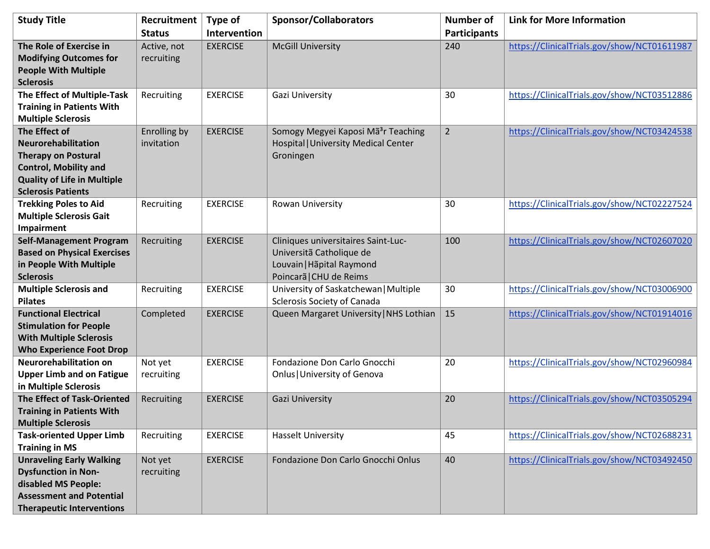| <b>Study Title</b>                                                                                                                                                    | Recruitment                | Type of             | Sponsor/Collaborators                                                                                                   | <b>Number of</b>    | <b>Link for More Information</b>            |
|-----------------------------------------------------------------------------------------------------------------------------------------------------------------------|----------------------------|---------------------|-------------------------------------------------------------------------------------------------------------------------|---------------------|---------------------------------------------|
|                                                                                                                                                                       | <b>Status</b>              | <b>Intervention</b> |                                                                                                                         | <b>Participants</b> |                                             |
| The Role of Exercise in<br><b>Modifying Outcomes for</b><br><b>People With Multiple</b><br><b>Sclerosis</b>                                                           | Active, not<br>recruiting  | <b>EXERCISE</b>     | <b>McGill University</b>                                                                                                | 240                 | https://ClinicalTrials.gov/show/NCT01611987 |
| The Effect of Multiple-Task<br><b>Training in Patients With</b><br><b>Multiple Sclerosis</b>                                                                          | Recruiting                 | <b>EXERCISE</b>     | Gazi University                                                                                                         | 30                  | https://ClinicalTrials.gov/show/NCT03512886 |
| The Effect of<br>Neurorehabilitation<br><b>Therapy on Postural</b><br><b>Control, Mobility and</b><br><b>Quality of Life in Multiple</b><br><b>Sclerosis Patients</b> | Enrolling by<br>invitation | <b>EXERCISE</b>     | Somogy Megyei Kaposi Mã <sup>3</sup> r Teaching<br>Hospital   University Medical Center<br>Groningen                    | $\overline{2}$      | https://ClinicalTrials.gov/show/NCT03424538 |
| <b>Trekking Poles to Aid</b><br><b>Multiple Sclerosis Gait</b><br>Impairment                                                                                          | Recruiting                 | <b>EXERCISE</b>     | Rowan University                                                                                                        | 30                  | https://ClinicalTrials.gov/show/NCT02227524 |
| <b>Self-Management Program</b><br><b>Based on Physical Exercises</b><br>in People With Multiple<br><b>Sclerosis</b>                                                   | Recruiting                 | <b>EXERCISE</b>     | Cliniques universitaires Saint-Luc-<br>Universitã Catholique de<br>Louvain   Hãpital Raymond<br>Poincarã   CHU de Reims | 100                 | https://ClinicalTrials.gov/show/NCT02607020 |
| <b>Multiple Sclerosis and</b><br><b>Pilates</b>                                                                                                                       | Recruiting                 | <b>EXERCISE</b>     | University of Saskatchewan   Multiple<br>Sclerosis Society of Canada                                                    | 30                  | https://ClinicalTrials.gov/show/NCT03006900 |
| <b>Functional Electrical</b><br><b>Stimulation for People</b><br><b>With Multiple Sclerosis</b><br><b>Who Experience Foot Drop</b>                                    | Completed                  | <b>EXERCISE</b>     | Queen Margaret University   NHS Lothian                                                                                 | 15                  | https://ClinicalTrials.gov/show/NCT01914016 |
| <b>Neurorehabilitation on</b><br><b>Upper Limb and on Fatigue</b><br>in Multiple Sclerosis                                                                            | Not yet<br>recruiting      | <b>EXERCISE</b>     | Fondazione Don Carlo Gnocchi<br>Onlus   University of Genova                                                            | 20                  | https://ClinicalTrials.gov/show/NCT02960984 |
| <b>The Effect of Task-Oriented</b><br><b>Training in Patients With</b><br><b>Multiple Sclerosis</b>                                                                   | Recruiting                 | <b>EXERCISE</b>     | <b>Gazi University</b>                                                                                                  | 20                  | https://ClinicalTrials.gov/show/NCT03505294 |
| <b>Task-oriented Upper Limb</b><br><b>Training in MS</b>                                                                                                              | Recruiting                 | <b>EXERCISE</b>     | Hasselt University                                                                                                      | 45                  | https://ClinicalTrials.gov/show/NCT02688231 |
| <b>Unraveling Early Walking</b><br><b>Dysfunction in Non-</b><br>disabled MS People:<br><b>Assessment and Potential</b><br><b>Therapeutic Interventions</b>           | Not yet<br>recruiting      | <b>EXERCISE</b>     | Fondazione Don Carlo Gnocchi Onlus                                                                                      | 40                  | https://ClinicalTrials.gov/show/NCT03492450 |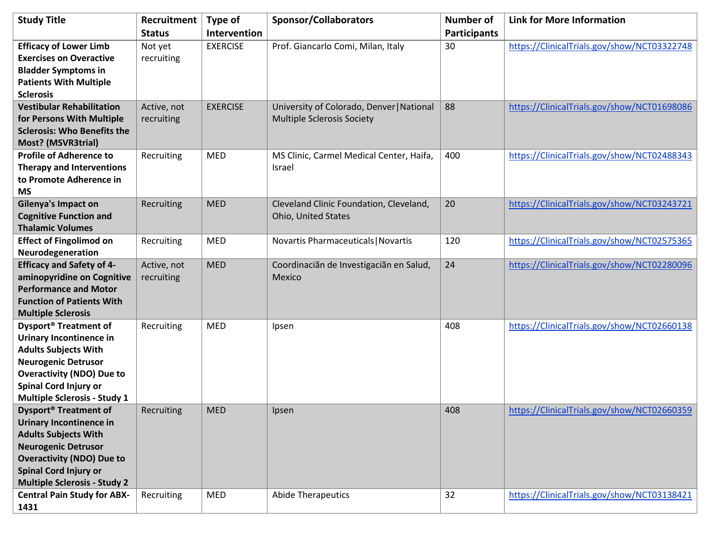| <b>Study Title</b>                                                                                                                                                                                                                          | Recruitment               | Type of         | <b>Sponsor/Collaborators</b>                                                   | <b>Number of</b>    | <b>Link for More Information</b>            |
|---------------------------------------------------------------------------------------------------------------------------------------------------------------------------------------------------------------------------------------------|---------------------------|-----------------|--------------------------------------------------------------------------------|---------------------|---------------------------------------------|
|                                                                                                                                                                                                                                             | <b>Status</b>             | Intervention    |                                                                                | <b>Participants</b> |                                             |
| <b>Efficacy of Lower Limb</b><br><b>Exercises on Overactive</b><br><b>Bladder Symptoms in</b><br><b>Patients With Multiple</b><br><b>Sclerosis</b>                                                                                          | Not yet<br>recruiting     | <b>EXERCISE</b> | Prof. Giancarlo Comi, Milan, Italy                                             | 30                  | https://ClinicalTrials.gov/show/NCT03322748 |
| <b>Vestibular Rehabilitation</b><br>for Persons With Multiple<br><b>Sclerosis: Who Benefits the</b><br>Most? (MSVR3trial)                                                                                                                   | Active, not<br>recruiting | <b>EXERCISE</b> | University of Colorado, Denver   National<br><b>Multiple Sclerosis Society</b> | 88                  | https://ClinicalTrials.gov/show/NCT01698086 |
| <b>Profile of Adherence to</b><br><b>Therapy and Interventions</b><br>to Promote Adherence in<br><b>MS</b>                                                                                                                                  | Recruiting                | <b>MED</b>      | MS Clinic, Carmel Medical Center, Haifa,<br>Israel                             | 400                 | https://ClinicalTrials.gov/show/NCT02488343 |
| Gilenya's Impact on<br><b>Cognitive Function and</b><br><b>Thalamic Volumes</b>                                                                                                                                                             | Recruiting                | <b>MED</b>      | Cleveland Clinic Foundation, Cleveland,<br><b>Ohio, United States</b>          | 20                  | https://ClinicalTrials.gov/show/NCT03243721 |
| <b>Effect of Fingolimod on</b><br>Neurodegeneration                                                                                                                                                                                         | Recruiting                | <b>MED</b>      | Novartis Pharmaceuticals   Novartis                                            | 120                 | https://ClinicalTrials.gov/show/NCT02575365 |
| <b>Efficacy and Safety of 4-</b><br>aminopyridine on Cognitive<br><b>Performance and Motor</b><br><b>Function of Patients With</b><br><b>Multiple Sclerosis</b>                                                                             | Active, not<br>recruiting | <b>MED</b>      | Coordinaciãn de Investigaciãn en Salud,<br>Mexico                              | 24                  | https://ClinicalTrials.gov/show/NCT02280096 |
| Dysport <sup>®</sup> Treatment of<br>Urinary Incontinence in<br><b>Adults Subjects With</b><br><b>Neurogenic Detrusor</b><br><b>Overactivity (NDO) Due to</b><br>Spinal Cord Injury or<br><b>Multiple Sclerosis - Study 1</b>               | Recruiting                | <b>MED</b>      | Ipsen                                                                          | 408                 | https://ClinicalTrials.gov/show/NCT02660138 |
| Dysport <sup>®</sup> Treatment of<br><b>Urinary Incontinence in</b><br><b>Adults Subjects With</b><br><b>Neurogenic Detrusor</b><br><b>Overactivity (NDO) Due to</b><br><b>Spinal Cord Injury or</b><br><b>Multiple Sclerosis - Study 2</b> | Recruiting                | <b>MED</b>      | Ipsen                                                                          | 408                 | https://ClinicalTrials.gov/show/NCT02660359 |
| <b>Central Pain Study for ABX-</b><br>1431                                                                                                                                                                                                  | Recruiting                | <b>MED</b>      | <b>Abide Therapeutics</b>                                                      | 32                  | https://ClinicalTrials.gov/show/NCT03138421 |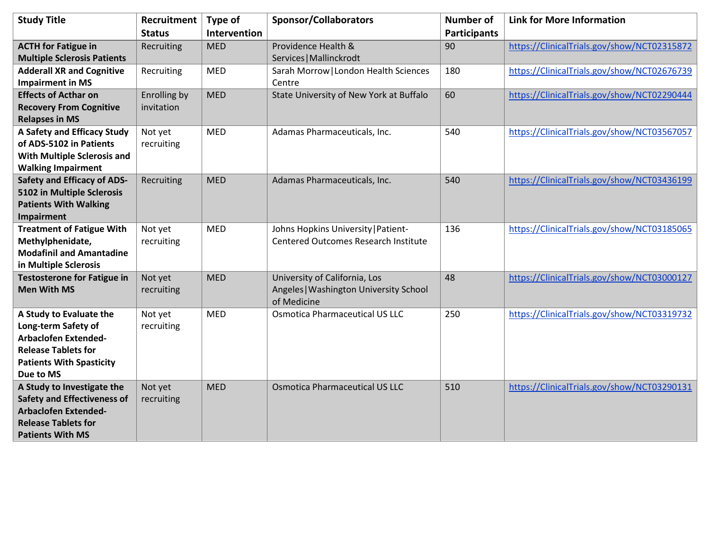| <b>Study Title</b>                 | Recruitment         | Type of      | <b>Sponsor/Collaborators</b>                          | <b>Number of</b>    | <b>Link for More Information</b>            |
|------------------------------------|---------------------|--------------|-------------------------------------------------------|---------------------|---------------------------------------------|
|                                    | <b>Status</b>       | Intervention |                                                       | <b>Participants</b> |                                             |
| <b>ACTH for Fatigue in</b>         | Recruiting          | <b>MED</b>   | Providence Health &                                   | 90                  | https://ClinicalTrials.gov/show/NCT02315872 |
| <b>Multiple Sclerosis Patients</b> |                     |              | Services   Mallinckrodt                               |                     |                                             |
| <b>Adderall XR and Cognitive</b>   | Recruiting          | <b>MED</b>   | Sarah Morrow   London Health Sciences                 | 180                 | https://ClinicalTrials.gov/show/NCT02676739 |
| <b>Impairment in MS</b>            |                     |              | Centre                                                |                     |                                             |
| <b>Effects of Acthar on</b>        | <b>Enrolling by</b> | <b>MED</b>   | State University of New York at Buffalo               | 60                  | https://ClinicalTrials.gov/show/NCT02290444 |
| <b>Recovery From Cognitive</b>     | invitation          |              |                                                       |                     |                                             |
| <b>Relapses in MS</b>              |                     |              |                                                       |                     |                                             |
| A Safety and Efficacy Study        | Not yet             | <b>MED</b>   | Adamas Pharmaceuticals, Inc.                          | 540                 | https://ClinicalTrials.gov/show/NCT03567057 |
| of ADS-5102 in Patients            | recruiting          |              |                                                       |                     |                                             |
| With Multiple Sclerosis and        |                     |              |                                                       |                     |                                             |
| <b>Walking Impairment</b>          |                     |              |                                                       |                     |                                             |
| <b>Safety and Efficacy of ADS-</b> | Recruiting          | <b>MED</b>   | Adamas Pharmaceuticals, Inc.                          | 540                 | https://ClinicalTrials.gov/show/NCT03436199 |
| 5102 in Multiple Sclerosis         |                     |              |                                                       |                     |                                             |
| <b>Patients With Walking</b>       |                     |              |                                                       |                     |                                             |
| Impairment                         |                     |              |                                                       |                     |                                             |
| <b>Treatment of Fatigue With</b>   | Not yet             | <b>MED</b>   | Johns Hopkins University   Patient-                   | 136                 | https://ClinicalTrials.gov/show/NCT03185065 |
| Methylphenidate,                   | recruiting          |              | <b>Centered Outcomes Research Institute</b>           |                     |                                             |
| <b>Modafinil and Amantadine</b>    |                     |              |                                                       |                     |                                             |
| in Multiple Sclerosis              |                     |              |                                                       |                     |                                             |
| <b>Testosterone for Fatigue in</b> | Not yet             | <b>MED</b>   | University of California, Los                         | 48                  | https://ClinicalTrials.gov/show/NCT03000127 |
| <b>Men With MS</b>                 | recruiting          |              | Angeles   Washington University School<br>of Medicine |                     |                                             |
| A Study to Evaluate the            | Not yet             | <b>MED</b>   | <b>Osmotica Pharmaceutical US LLC</b>                 | 250                 | https://ClinicalTrials.gov/show/NCT03319732 |
| Long-term Safety of                | recruiting          |              |                                                       |                     |                                             |
| <b>Arbaclofen Extended-</b>        |                     |              |                                                       |                     |                                             |
| <b>Release Tablets for</b>         |                     |              |                                                       |                     |                                             |
| <b>Patients With Spasticity</b>    |                     |              |                                                       |                     |                                             |
| Due to MS                          |                     |              |                                                       |                     |                                             |
| A Study to Investigate the         | Not yet             | <b>MED</b>   | <b>Osmotica Pharmaceutical US LLC</b>                 | 510                 | https://ClinicalTrials.gov/show/NCT03290131 |
| <b>Safety and Effectiveness of</b> | recruiting          |              |                                                       |                     |                                             |
| <b>Arbaclofen Extended-</b>        |                     |              |                                                       |                     |                                             |
| <b>Release Tablets for</b>         |                     |              |                                                       |                     |                                             |
| <b>Patients With MS</b>            |                     |              |                                                       |                     |                                             |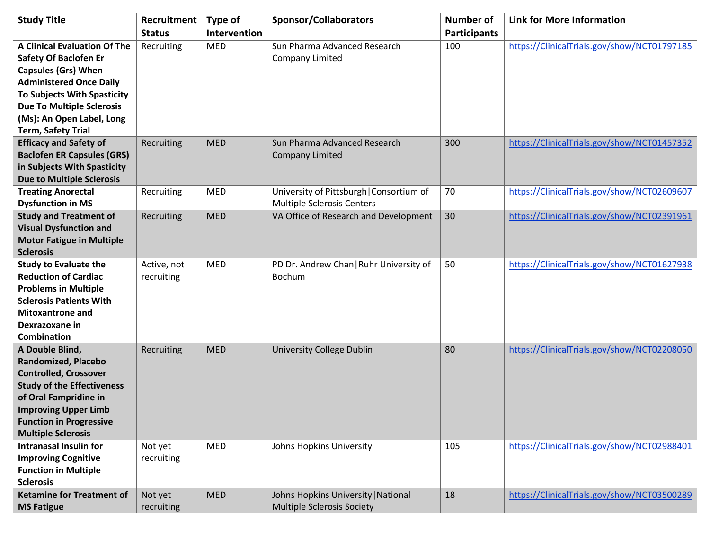| <b>Study Title</b>                                    | Recruitment           | Type of      | <b>Sponsor/Collaborators</b>                                             | <b>Number of</b>    | <b>Link for More Information</b>            |
|-------------------------------------------------------|-----------------------|--------------|--------------------------------------------------------------------------|---------------------|---------------------------------------------|
|                                                       | <b>Status</b>         | Intervention |                                                                          | <b>Participants</b> |                                             |
| <b>A Clinical Evaluation Of The</b>                   | Recruiting            | <b>MED</b>   | Sun Pharma Advanced Research                                             | 100                 | https://ClinicalTrials.gov/show/NCT01797185 |
| <b>Safety Of Baclofen Er</b>                          |                       |              | Company Limited                                                          |                     |                                             |
| <b>Capsules (Grs) When</b>                            |                       |              |                                                                          |                     |                                             |
| <b>Administered Once Daily</b>                        |                       |              |                                                                          |                     |                                             |
| <b>To Subjects With Spasticity</b>                    |                       |              |                                                                          |                     |                                             |
| <b>Due To Multiple Sclerosis</b>                      |                       |              |                                                                          |                     |                                             |
| (Ms): An Open Label, Long                             |                       |              |                                                                          |                     |                                             |
| <b>Term, Safety Trial</b>                             |                       |              |                                                                          |                     |                                             |
| <b>Efficacy and Safety of</b>                         | Recruiting            | <b>MED</b>   | Sun Pharma Advanced Research                                             | 300                 | https://ClinicalTrials.gov/show/NCT01457352 |
| <b>Baclofen ER Capsules (GRS)</b>                     |                       |              | <b>Company Limited</b>                                                   |                     |                                             |
| in Subjects With Spasticity                           |                       |              |                                                                          |                     |                                             |
| <b>Due to Multiple Sclerosis</b>                      |                       |              |                                                                          |                     |                                             |
| <b>Treating Anorectal</b>                             | Recruiting            | <b>MED</b>   | University of Pittsburgh   Consortium of                                 | 70                  | https://ClinicalTrials.gov/show/NCT02609607 |
| <b>Dysfunction in MS</b>                              |                       |              | <b>Multiple Sclerosis Centers</b>                                        |                     |                                             |
| <b>Study and Treatment of</b>                         | Recruiting            | <b>MED</b>   | VA Office of Research and Development                                    | 30                  | https://ClinicalTrials.gov/show/NCT02391961 |
| <b>Visual Dysfunction and</b>                         |                       |              |                                                                          |                     |                                             |
| <b>Motor Fatigue in Multiple</b><br><b>Sclerosis</b>  |                       |              |                                                                          |                     |                                             |
| <b>Study to Evaluate the</b>                          | Active, not           | <b>MED</b>   | PD Dr. Andrew Chan   Ruhr University of                                  | 50                  | https://ClinicalTrials.gov/show/NCT01627938 |
| <b>Reduction of Cardiac</b>                           | recruiting            |              | Bochum                                                                   |                     |                                             |
| <b>Problems in Multiple</b>                           |                       |              |                                                                          |                     |                                             |
| <b>Sclerosis Patients With</b>                        |                       |              |                                                                          |                     |                                             |
| <b>Mitoxantrone and</b>                               |                       |              |                                                                          |                     |                                             |
| Dexrazoxane in                                        |                       |              |                                                                          |                     |                                             |
| <b>Combination</b>                                    |                       |              |                                                                          |                     |                                             |
| A Double Blind,                                       | Recruiting            | <b>MED</b>   | University College Dublin                                                | 80                  | https://ClinicalTrials.gov/show/NCT02208050 |
| Randomized, Placebo                                   |                       |              |                                                                          |                     |                                             |
| <b>Controlled, Crossover</b>                          |                       |              |                                                                          |                     |                                             |
| <b>Study of the Effectiveness</b>                     |                       |              |                                                                          |                     |                                             |
| of Oral Fampridine in                                 |                       |              |                                                                          |                     |                                             |
| <b>Improving Upper Limb</b>                           |                       |              |                                                                          |                     |                                             |
| <b>Function in Progressive</b>                        |                       |              |                                                                          |                     |                                             |
| <b>Multiple Sclerosis</b>                             |                       |              |                                                                          |                     |                                             |
| <b>Intranasal Insulin for</b>                         | Not yet               | <b>MED</b>   | Johns Hopkins University                                                 | 105                 | https://ClinicalTrials.gov/show/NCT02988401 |
| <b>Improving Cognitive</b>                            | recruiting            |              |                                                                          |                     |                                             |
| <b>Function in Multiple</b>                           |                       |              |                                                                          |                     |                                             |
| <b>Sclerosis</b>                                      |                       |              |                                                                          |                     |                                             |
| <b>Ketamine for Treatment of</b><br><b>MS Fatigue</b> | Not yet<br>recruiting | <b>MED</b>   | Johns Hopkins University   National<br><b>Multiple Sclerosis Society</b> | 18                  | https://ClinicalTrials.gov/show/NCT03500289 |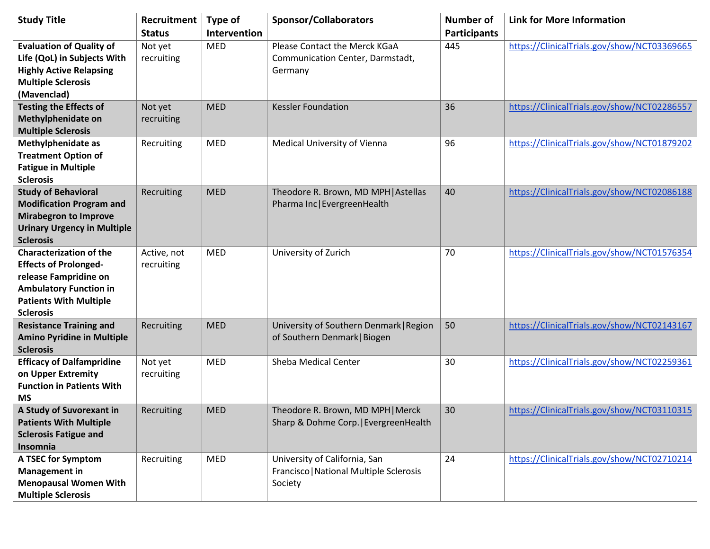| <b>Study Title</b>                                                                                                                                                            | Recruitment               | Type of      | <b>Sponsor/Collaborators</b>                                                        | <b>Number of</b>    | <b>Link for More Information</b>            |
|-------------------------------------------------------------------------------------------------------------------------------------------------------------------------------|---------------------------|--------------|-------------------------------------------------------------------------------------|---------------------|---------------------------------------------|
|                                                                                                                                                                               | <b>Status</b>             | Intervention |                                                                                     | <b>Participants</b> |                                             |
| <b>Evaluation of Quality of</b><br>Life (QoL) in Subjects With<br><b>Highly Active Relapsing</b><br><b>Multiple Sclerosis</b><br>(Mavenclad)                                  | Not yet<br>recruiting     | <b>MED</b>   | Please Contact the Merck KGaA<br>Communication Center, Darmstadt,<br>Germany        | 445                 | https://ClinicalTrials.gov/show/NCT03369665 |
| <b>Testing the Effects of</b><br>Methylphenidate on<br><b>Multiple Sclerosis</b>                                                                                              | Not yet<br>recruiting     | <b>MED</b>   | <b>Kessler Foundation</b>                                                           | 36                  | https://ClinicalTrials.gov/show/NCT02286557 |
| <b>Methylphenidate as</b><br><b>Treatment Option of</b><br><b>Fatigue in Multiple</b><br><b>Sclerosis</b>                                                                     | Recruiting                | <b>MED</b>   | Medical University of Vienna                                                        | 96                  | https://ClinicalTrials.gov/show/NCT01879202 |
| <b>Study of Behavioral</b><br><b>Modification Program and</b><br><b>Mirabegron to Improve</b><br><b>Urinary Urgency in Multiple</b><br><b>Sclerosis</b>                       | Recruiting                | <b>MED</b>   | Theodore R. Brown, MD MPH   Astellas<br>Pharma Inc   EvergreenHealth                | 40                  | https://ClinicalTrials.gov/show/NCT02086188 |
| <b>Characterization of the</b><br><b>Effects of Prolonged-</b><br>release Fampridine on<br><b>Ambulatory Function in</b><br><b>Patients With Multiple</b><br><b>Sclerosis</b> | Active, not<br>recruiting | <b>MED</b>   | University of Zurich                                                                | 70                  | https://ClinicalTrials.gov/show/NCT01576354 |
| <b>Resistance Training and</b><br><b>Amino Pyridine in Multiple</b><br><b>Sclerosis</b>                                                                                       | Recruiting                | <b>MED</b>   | University of Southern Denmark   Region<br>of Southern Denmark   Biogen             | 50                  | https://ClinicalTrials.gov/show/NCT02143167 |
| <b>Efficacy of Dalfampridine</b><br>on Upper Extremity<br><b>Function in Patients With</b><br><b>MS</b>                                                                       | Not yet<br>recruiting     | <b>MED</b>   | <b>Sheba Medical Center</b>                                                         | 30                  | https://ClinicalTrials.gov/show/NCT02259361 |
| A Study of Suvorexant in<br><b>Patients With Multiple</b><br><b>Sclerosis Fatigue and</b><br>Insomnia                                                                         | Recruiting                | <b>MED</b>   | Theodore R. Brown, MD MPH   Merck<br>Sharp & Dohme Corp.   EvergreenHealth          | 30                  | https://ClinicalTrials.gov/show/NCT03110315 |
| A TSEC for Symptom<br><b>Management in</b><br><b>Menopausal Women With</b><br><b>Multiple Sclerosis</b>                                                                       | Recruiting                | <b>MED</b>   | University of California, San<br>Francisco   National Multiple Sclerosis<br>Society | 24                  | https://ClinicalTrials.gov/show/NCT02710214 |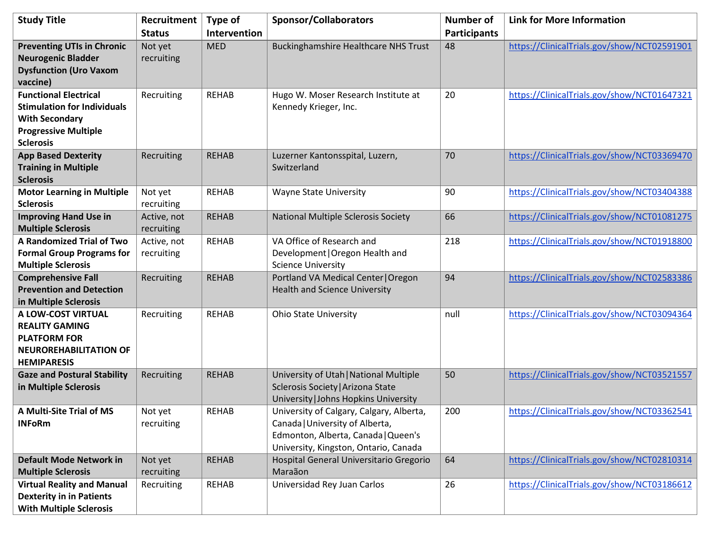| <b>Study Title</b>                                                                                                                             | Recruitment               | Type of      | Sponsor/Collaborators                                                                                                                                       | <b>Number of</b>    | <b>Link for More Information</b>            |
|------------------------------------------------------------------------------------------------------------------------------------------------|---------------------------|--------------|-------------------------------------------------------------------------------------------------------------------------------------------------------------|---------------------|---------------------------------------------|
|                                                                                                                                                | <b>Status</b>             | Intervention |                                                                                                                                                             | <b>Participants</b> |                                             |
| <b>Preventing UTIs in Chronic</b><br><b>Neurogenic Bladder</b><br><b>Dysfunction (Uro Vaxom</b><br>vaccine)                                    | Not yet<br>recruiting     | <b>MED</b>   | <b>Buckinghamshire Healthcare NHS Trust</b>                                                                                                                 | 48                  | https://ClinicalTrials.gov/show/NCT02591901 |
| <b>Functional Electrical</b><br><b>Stimulation for Individuals</b><br><b>With Secondary</b><br><b>Progressive Multiple</b><br><b>Sclerosis</b> | Recruiting                | <b>REHAB</b> | Hugo W. Moser Research Institute at<br>Kennedy Krieger, Inc.                                                                                                | 20                  | https://ClinicalTrials.gov/show/NCT01647321 |
| <b>App Based Dexterity</b><br><b>Training in Multiple</b><br><b>Sclerosis</b>                                                                  | Recruiting                | <b>REHAB</b> | Luzerner Kantonsspital, Luzern,<br>Switzerland                                                                                                              | 70                  | https://ClinicalTrials.gov/show/NCT03369470 |
| <b>Motor Learning in Multiple</b><br><b>Sclerosis</b>                                                                                          | Not yet<br>recruiting     | REHAB        | <b>Wayne State University</b>                                                                                                                               | 90                  | https://ClinicalTrials.gov/show/NCT03404388 |
| <b>Improving Hand Use in</b><br><b>Multiple Sclerosis</b>                                                                                      | Active, not<br>recruiting | <b>REHAB</b> | National Multiple Sclerosis Society                                                                                                                         | 66                  | https://ClinicalTrials.gov/show/NCT01081275 |
| A Randomized Trial of Two<br><b>Formal Group Programs for</b><br><b>Multiple Sclerosis</b>                                                     | Active, not<br>recruiting | <b>REHAB</b> | VA Office of Research and<br>Development   Oregon Health and<br><b>Science University</b>                                                                   | 218                 | https://ClinicalTrials.gov/show/NCT01918800 |
| <b>Comprehensive Fall</b><br><b>Prevention and Detection</b><br>in Multiple Sclerosis                                                          | Recruiting                | <b>REHAB</b> | Portland VA Medical Center   Oregon<br><b>Health and Science University</b>                                                                                 | 94                  | https://ClinicalTrials.gov/show/NCT02583386 |
| A LOW-COST VIRTUAL<br><b>REALITY GAMING</b><br><b>PLATFORM FOR</b><br><b>NEUROREHABILITATION OF</b><br><b>HEMIPARESIS</b>                      | Recruiting                | <b>REHAB</b> | <b>Ohio State University</b>                                                                                                                                | null                | https://ClinicalTrials.gov/show/NCT03094364 |
| <b>Gaze and Postural Stability</b><br>in Multiple Sclerosis                                                                                    | Recruiting                | <b>REHAB</b> | University of Utah   National Multiple<br>Sclerosis Society   Arizona State<br>University   Johns Hopkins University                                        | 50                  | https://ClinicalTrials.gov/show/NCT03521557 |
| A Multi-Site Trial of MS<br><b>INFoRm</b>                                                                                                      | Not yet<br>recruiting     | <b>REHAB</b> | University of Calgary, Calgary, Alberta,<br>Canada   University of Alberta,<br>Edmonton, Alberta, Canada   Queen's<br>University, Kingston, Ontario, Canada | 200                 | https://ClinicalTrials.gov/show/NCT03362541 |
| <b>Default Mode Network in</b><br><b>Multiple Sclerosis</b>                                                                                    | Not yet<br>recruiting     | <b>REHAB</b> | Hospital General Universitario Gregorio<br>Maraãon                                                                                                          | 64                  | https://ClinicalTrials.gov/show/NCT02810314 |
| <b>Virtual Reality and Manual</b><br><b>Dexterity in in Patients</b><br><b>With Multiple Sclerosis</b>                                         | Recruiting                | <b>REHAB</b> | Universidad Rey Juan Carlos                                                                                                                                 | 26                  | https://ClinicalTrials.gov/show/NCT03186612 |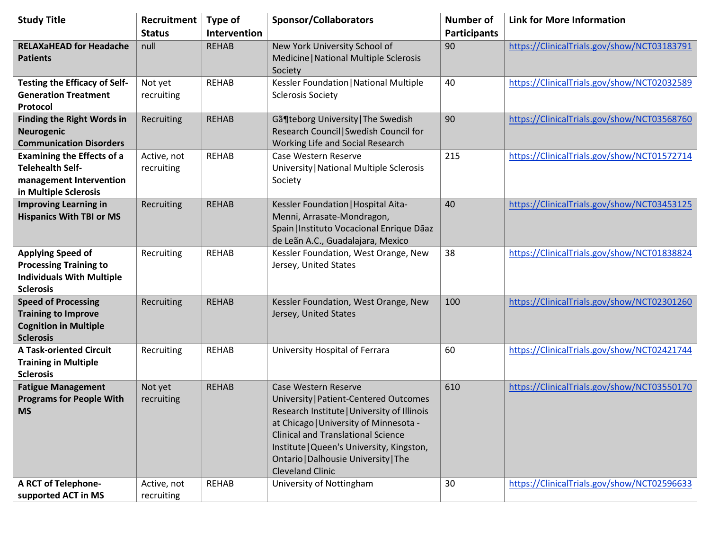| <b>Study Title</b>                                                                                                | Recruitment               | Type of      | Sponsor/Collaborators                                                                                                                                                                                                                                                                                                | <b>Number of</b>    | <b>Link for More Information</b>            |
|-------------------------------------------------------------------------------------------------------------------|---------------------------|--------------|----------------------------------------------------------------------------------------------------------------------------------------------------------------------------------------------------------------------------------------------------------------------------------------------------------------------|---------------------|---------------------------------------------|
|                                                                                                                   | <b>Status</b>             | Intervention |                                                                                                                                                                                                                                                                                                                      | <b>Participants</b> |                                             |
| <b>RELAXaHEAD for Headache</b><br><b>Patients</b>                                                                 | null                      | <b>REHAB</b> | New York University School of<br>Medicine   National Multiple Sclerosis<br>Society                                                                                                                                                                                                                                   | 90                  | https://ClinicalTrials.gov/show/NCT03183791 |
| <b>Testing the Efficacy of Self-</b><br><b>Generation Treatment</b><br>Protocol                                   | Not yet<br>recruiting     | <b>REHAB</b> | Kessler Foundation   National Multiple<br><b>Sclerosis Society</b>                                                                                                                                                                                                                                                   | 40                  | https://ClinicalTrials.gov/show/NCT02032589 |
| <b>Finding the Right Words in</b><br><b>Neurogenic</b><br><b>Communication Disorders</b>                          | Recruiting                | <b>REHAB</b> | Gã¶teborg University   The Swedish<br>Research Council   Swedish Council for<br>Working Life and Social Research                                                                                                                                                                                                     | 90                  | https://ClinicalTrials.gov/show/NCT03568760 |
| <b>Examining the Effects of a</b><br><b>Telehealth Self-</b><br>management Intervention<br>in Multiple Sclerosis  | Active, not<br>recruiting | <b>REHAB</b> | Case Western Reserve<br>University   National Multiple Sclerosis<br>Society                                                                                                                                                                                                                                          | 215                 | https://ClinicalTrials.gov/show/NCT01572714 |
| <b>Improving Learning in</b><br><b>Hispanics With TBI or MS</b>                                                   | Recruiting                | <b>REHAB</b> | Kessler Foundation   Hospital Aita-<br>Menni, Arrasate-Mondragon,<br>Spain   Instituto Vocacional Enrique Dãaz<br>de Leãn A.C., Guadalajara, Mexico                                                                                                                                                                  | 40                  | https://ClinicalTrials.gov/show/NCT03453125 |
| <b>Applying Speed of</b><br><b>Processing Training to</b><br><b>Individuals With Multiple</b><br><b>Sclerosis</b> | Recruiting                | <b>REHAB</b> | Kessler Foundation, West Orange, New<br>Jersey, United States                                                                                                                                                                                                                                                        | 38                  | https://ClinicalTrials.gov/show/NCT01838824 |
| <b>Speed of Processing</b><br><b>Training to Improve</b><br><b>Cognition in Multiple</b><br><b>Sclerosis</b>      | Recruiting                | <b>REHAB</b> | Kessler Foundation, West Orange, New<br>Jersey, United States                                                                                                                                                                                                                                                        | 100                 | https://ClinicalTrials.gov/show/NCT02301260 |
| <b>A Task-oriented Circuit</b><br><b>Training in Multiple</b><br><b>Sclerosis</b>                                 | Recruiting                | <b>REHAB</b> | University Hospital of Ferrara                                                                                                                                                                                                                                                                                       | 60                  | https://ClinicalTrials.gov/show/NCT02421744 |
| <b>Fatigue Management</b><br><b>Programs for People With</b><br><b>MS</b>                                         | Not yet<br>recruiting     | <b>REHAB</b> | Case Western Reserve<br>University   Patient-Centered Outcomes<br>Research Institute   University of Illinois<br>at Chicago   University of Minnesota -<br><b>Clinical and Translational Science</b><br>Institute   Queen's University, Kingston,<br>Ontario   Dalhousie University   The<br><b>Cleveland Clinic</b> | 610                 | https://ClinicalTrials.gov/show/NCT03550170 |
| A RCT of Telephone-<br>supported ACT in MS                                                                        | Active, not<br>recruiting | <b>REHAB</b> | University of Nottingham                                                                                                                                                                                                                                                                                             | 30                  | https://ClinicalTrials.gov/show/NCT02596633 |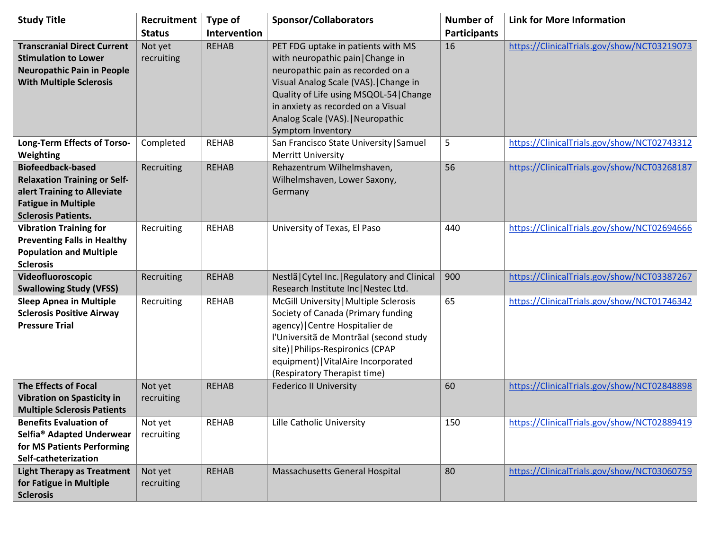| <b>Study Title</b>                                                                                                                                         | Recruitment           | Type of      | <b>Sponsor/Collaborators</b>                                                                                                                                                                                                                                                                      | <b>Number of</b>    | <b>Link for More Information</b>            |
|------------------------------------------------------------------------------------------------------------------------------------------------------------|-----------------------|--------------|---------------------------------------------------------------------------------------------------------------------------------------------------------------------------------------------------------------------------------------------------------------------------------------------------|---------------------|---------------------------------------------|
|                                                                                                                                                            | <b>Status</b>         | Intervention |                                                                                                                                                                                                                                                                                                   | <b>Participants</b> |                                             |
| <b>Transcranial Direct Current</b><br><b>Stimulation to Lower</b><br><b>Neuropathic Pain in People</b><br><b>With Multiple Sclerosis</b>                   | Not yet<br>recruiting | <b>REHAB</b> | PET FDG uptake in patients with MS<br>with neuropathic pain   Change in<br>neuropathic pain as recorded on a<br>Visual Analog Scale (VAS).   Change in<br>Quality of Life using MSQOL-54   Change<br>in anxiety as recorded on a Visual<br>Analog Scale (VAS).   Neuropathic<br>Symptom Inventory | 16                  | https://ClinicalTrials.gov/show/NCT03219073 |
| Long-Term Effects of Torso-<br>Weighting                                                                                                                   | Completed             | <b>REHAB</b> | San Francisco State University   Samuel<br><b>Merritt University</b>                                                                                                                                                                                                                              | 5                   | https://ClinicalTrials.gov/show/NCT02743312 |
| <b>Biofeedback-based</b><br><b>Relaxation Training or Self-</b><br>alert Training to Alleviate<br><b>Fatigue in Multiple</b><br><b>Sclerosis Patients.</b> | Recruiting            | <b>REHAB</b> | Rehazentrum Wilhelmshaven,<br>Wilhelmshaven, Lower Saxony,<br>Germany                                                                                                                                                                                                                             | 56                  | https://ClinicalTrials.gov/show/NCT03268187 |
| <b>Vibration Training for</b><br><b>Preventing Falls in Healthy</b><br><b>Population and Multiple</b><br><b>Sclerosis</b>                                  | Recruiting            | <b>REHAB</b> | University of Texas, El Paso                                                                                                                                                                                                                                                                      | 440                 | https://ClinicalTrials.gov/show/NCT02694666 |
| Videofluoroscopic<br><b>Swallowing Study (VFSS)</b>                                                                                                        | Recruiting            | <b>REHAB</b> | Nestlä   Cytel Inc.   Regulatory and Clinical<br>Research Institute Inc   Nestec Ltd.                                                                                                                                                                                                             | 900                 | https://ClinicalTrials.gov/show/NCT03387267 |
| <b>Sleep Apnea in Multiple</b><br><b>Sclerosis Positive Airway</b><br><b>Pressure Trial</b>                                                                | Recruiting            | <b>REHAB</b> | McGill University   Multiple Sclerosis<br>Society of Canada (Primary funding<br>agency) Centre Hospitalier de<br>l'Universitã de Montrãal (second study<br>site)   Philips-Respironics (CPAP<br>equipment)   VitalAire Incorporated<br>(Respiratory Therapist time)                               | 65                  | https://ClinicalTrials.gov/show/NCT01746342 |
| <b>The Effects of Focal</b><br><b>Vibration on Spasticity in</b><br><b>Multiple Sclerosis Patients</b>                                                     | Not yet<br>recruiting | <b>REHAB</b> | <b>Federico II University</b>                                                                                                                                                                                                                                                                     | 60                  | https://ClinicalTrials.gov/show/NCT02848898 |
| <b>Benefits Evaluation of</b><br>Selfia <sup>®</sup> Adapted Underwear<br>for MS Patients Performing<br>Self-catheterization                               | Not yet<br>recruiting | <b>REHAB</b> | Lille Catholic University                                                                                                                                                                                                                                                                         | 150                 | https://ClinicalTrials.gov/show/NCT02889419 |
| <b>Light Therapy as Treatment</b><br>for Fatigue in Multiple<br><b>Sclerosis</b>                                                                           | Not yet<br>recruiting | <b>REHAB</b> | Massachusetts General Hospital                                                                                                                                                                                                                                                                    | 80                  | https://ClinicalTrials.gov/show/NCT03060759 |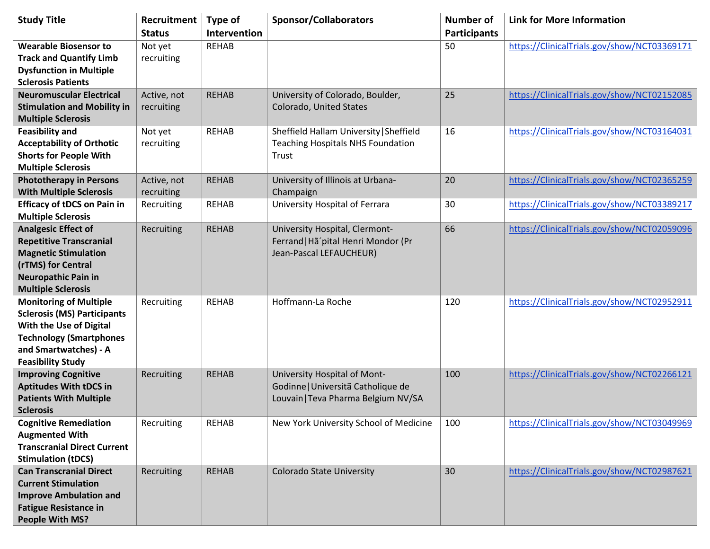| <b>Study Title</b>                 | Recruitment   | Type of      | Sponsor/Collaborators                    | <b>Number of</b>    | <b>Link for More Information</b>            |
|------------------------------------|---------------|--------------|------------------------------------------|---------------------|---------------------------------------------|
|                                    | <b>Status</b> | Intervention |                                          | <b>Participants</b> |                                             |
| <b>Wearable Biosensor to</b>       | Not yet       | <b>REHAB</b> |                                          | 50                  | https://ClinicalTrials.gov/show/NCT03369171 |
| <b>Track and Quantify Limb</b>     | recruiting    |              |                                          |                     |                                             |
| <b>Dysfunction in Multiple</b>     |               |              |                                          |                     |                                             |
| <b>Sclerosis Patients</b>          |               |              |                                          |                     |                                             |
| <b>Neuromuscular Electrical</b>    | Active, not   | <b>REHAB</b> | University of Colorado, Boulder,         | 25                  | https://ClinicalTrials.gov/show/NCT02152085 |
| <b>Stimulation and Mobility in</b> | recruiting    |              | Colorado, United States                  |                     |                                             |
| <b>Multiple Sclerosis</b>          |               |              |                                          |                     |                                             |
| <b>Feasibility and</b>             | Not yet       | <b>REHAB</b> | Sheffield Hallam University   Sheffield  | 16                  | https://ClinicalTrials.gov/show/NCT03164031 |
| <b>Acceptability of Orthotic</b>   | recruiting    |              | <b>Teaching Hospitals NHS Foundation</b> |                     |                                             |
| <b>Shorts for People With</b>      |               |              | Trust                                    |                     |                                             |
| <b>Multiple Sclerosis</b>          |               |              |                                          |                     |                                             |
| <b>Phototherapy in Persons</b>     | Active, not   | <b>REHAB</b> | University of Illinois at Urbana-        | 20                  | https://ClinicalTrials.gov/show/NCT02365259 |
| <b>With Multiple Sclerosis</b>     | recruiting    |              | Champaign                                |                     |                                             |
| <b>Efficacy of tDCS on Pain in</b> | Recruiting    | <b>REHAB</b> | University Hospital of Ferrara           | 30                  | https://ClinicalTrials.gov/show/NCT03389217 |
| <b>Multiple Sclerosis</b>          |               |              |                                          |                     |                                             |
| <b>Analgesic Effect of</b>         | Recruiting    | <b>REHAB</b> | University Hospital, Clermont-           | 66                  | https://ClinicalTrials.gov/show/NCT02059096 |
| <b>Repetitive Transcranial</b>     |               |              | Ferrand   Hã' pital Henri Mondor (Pr     |                     |                                             |
| <b>Magnetic Stimulation</b>        |               |              | Jean-Pascal LEFAUCHEUR)                  |                     |                                             |
| (rTMS) for Central                 |               |              |                                          |                     |                                             |
| <b>Neuropathic Pain in</b>         |               |              |                                          |                     |                                             |
|                                    |               |              |                                          |                     |                                             |
| <b>Multiple Sclerosis</b>          |               | <b>REHAB</b> | Hoffmann-La Roche                        |                     |                                             |
| <b>Monitoring of Multiple</b>      | Recruiting    |              |                                          | 120                 | https://ClinicalTrials.gov/show/NCT02952911 |
| <b>Sclerosis (MS) Participants</b> |               |              |                                          |                     |                                             |
| With the Use of Digital            |               |              |                                          |                     |                                             |
| <b>Technology (Smartphones</b>     |               |              |                                          |                     |                                             |
| and Smartwatches) - A              |               |              |                                          |                     |                                             |
| <b>Feasibility Study</b>           |               |              |                                          |                     |                                             |
| <b>Improving Cognitive</b>         | Recruiting    | <b>REHAB</b> | University Hospital of Mont-             | 100                 | https://ClinicalTrials.gov/show/NCT02266121 |
| <b>Aptitudes With tDCS in</b>      |               |              | Godinne   Universitã Catholique de       |                     |                                             |
| <b>Patients With Multiple</b>      |               |              | Louvain   Teva Pharma Belgium NV/SA      |                     |                                             |
| <b>Sclerosis</b>                   |               |              |                                          |                     |                                             |
| <b>Cognitive Remediation</b>       | Recruiting    | <b>REHAB</b> | New York University School of Medicine   | 100                 | https://ClinicalTrials.gov/show/NCT03049969 |
| <b>Augmented With</b>              |               |              |                                          |                     |                                             |
| <b>Transcranial Direct Current</b> |               |              |                                          |                     |                                             |
| <b>Stimulation (tDCS)</b>          |               |              |                                          |                     |                                             |
| <b>Can Transcranial Direct</b>     | Recruiting    | <b>REHAB</b> | <b>Colorado State University</b>         | 30                  | https://ClinicalTrials.gov/show/NCT02987621 |
| <b>Current Stimulation</b>         |               |              |                                          |                     |                                             |
| <b>Improve Ambulation and</b>      |               |              |                                          |                     |                                             |
| <b>Fatigue Resistance in</b>       |               |              |                                          |                     |                                             |
| People With MS?                    |               |              |                                          |                     |                                             |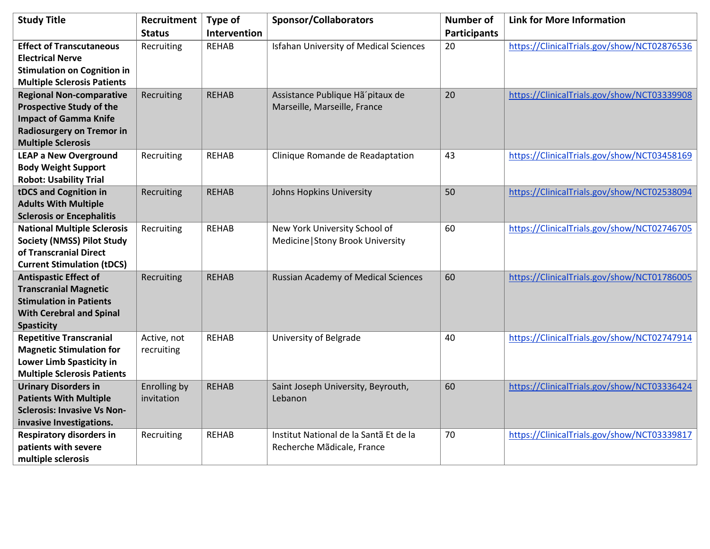| <b>Study Title</b>                                         | Recruitment   | Type of      | Sponsor/Collaborators                         | <b>Number of</b>    | <b>Link for More Information</b>            |
|------------------------------------------------------------|---------------|--------------|-----------------------------------------------|---------------------|---------------------------------------------|
|                                                            | <b>Status</b> | Intervention |                                               | <b>Participants</b> |                                             |
| <b>Effect of Transcutaneous</b>                            | Recruiting    | <b>REHAB</b> | <b>Isfahan University of Medical Sciences</b> | 20                  | https://ClinicalTrials.gov/show/NCT02876536 |
| <b>Electrical Nerve</b>                                    |               |              |                                               |                     |                                             |
| <b>Stimulation on Cognition in</b>                         |               |              |                                               |                     |                                             |
| <b>Multiple Sclerosis Patients</b>                         |               |              |                                               |                     |                                             |
| <b>Regional Non-comparative</b>                            | Recruiting    | <b>REHAB</b> | Assistance Publique Hã'pitaux de              | 20                  | https://ClinicalTrials.gov/show/NCT03339908 |
| <b>Prospective Study of the</b>                            |               |              | Marseille, Marseille, France                  |                     |                                             |
| <b>Impact of Gamma Knife</b>                               |               |              |                                               |                     |                                             |
| <b>Radiosurgery on Tremor in</b>                           |               |              |                                               |                     |                                             |
| <b>Multiple Sclerosis</b>                                  |               |              |                                               |                     | https://ClinicalTrials.gov/show/NCT03458169 |
| <b>LEAP a New Overground</b><br><b>Body Weight Support</b> | Recruiting    | <b>REHAB</b> | Clinique Romande de Readaptation              | 43                  |                                             |
| <b>Robot: Usability Trial</b>                              |               |              |                                               |                     |                                             |
| tDCS and Cognition in                                      | Recruiting    | <b>REHAB</b> | Johns Hopkins University                      | 50                  | https://ClinicalTrials.gov/show/NCT02538094 |
| <b>Adults With Multiple</b>                                |               |              |                                               |                     |                                             |
| <b>Sclerosis or Encephalitis</b>                           |               |              |                                               |                     |                                             |
| <b>National Multiple Sclerosis</b>                         | Recruiting    | <b>REHAB</b> | New York University School of                 | 60                  | https://ClinicalTrials.gov/show/NCT02746705 |
| <b>Society (NMSS) Pilot Study</b>                          |               |              | Medicine   Stony Brook University             |                     |                                             |
| of Transcranial Direct                                     |               |              |                                               |                     |                                             |
| <b>Current Stimulation (tDCS)</b>                          |               |              |                                               |                     |                                             |
| <b>Antispastic Effect of</b>                               | Recruiting    | <b>REHAB</b> | Russian Academy of Medical Sciences           | 60                  | https://ClinicalTrials.gov/show/NCT01786005 |
| <b>Transcranial Magnetic</b>                               |               |              |                                               |                     |                                             |
| <b>Stimulation in Patients</b>                             |               |              |                                               |                     |                                             |
| <b>With Cerebral and Spinal</b>                            |               |              |                                               |                     |                                             |
| <b>Spasticity</b>                                          |               |              |                                               |                     |                                             |
| <b>Repetitive Transcranial</b>                             | Active, not   | <b>REHAB</b> | University of Belgrade                        | 40                  | https://ClinicalTrials.gov/show/NCT02747914 |
| <b>Magnetic Stimulation for</b>                            | recruiting    |              |                                               |                     |                                             |
| Lower Limb Spasticity in                                   |               |              |                                               |                     |                                             |
| <b>Multiple Sclerosis Patients</b>                         |               |              |                                               |                     |                                             |
| <b>Urinary Disorders in</b>                                | Enrolling by  | <b>REHAB</b> | Saint Joseph University, Beyrouth,            | 60                  | https://ClinicalTrials.gov/show/NCT03336424 |
| <b>Patients With Multiple</b>                              | invitation    |              | Lebanon                                       |                     |                                             |
| <b>Sclerosis: Invasive Vs Non-</b>                         |               |              |                                               |                     |                                             |
| invasive Investigations.                                   |               | <b>REHAB</b> | Institut National de la Santã Et de la        | 70                  |                                             |
| <b>Respiratory disorders in</b><br>patients with severe    | Recruiting    |              | Recherche Mãdicale, France                    |                     | https://ClinicalTrials.gov/show/NCT03339817 |
|                                                            |               |              |                                               |                     |                                             |
| multiple sclerosis                                         |               |              |                                               |                     |                                             |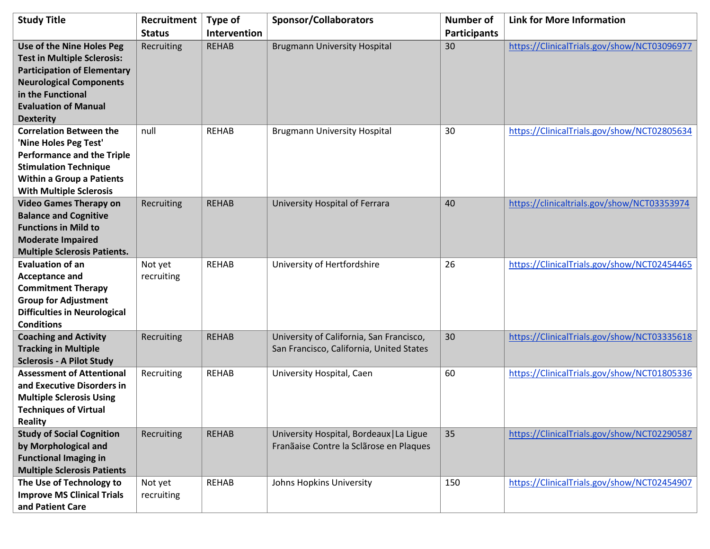| <b>Study Title</b>                                                                                                                                                                                              | Recruitment           | Type of      | <b>Sponsor/Collaborators</b>                                                         | <b>Number of</b>    | <b>Link for More Information</b>            |
|-----------------------------------------------------------------------------------------------------------------------------------------------------------------------------------------------------------------|-----------------------|--------------|--------------------------------------------------------------------------------------|---------------------|---------------------------------------------|
|                                                                                                                                                                                                                 | <b>Status</b>         | Intervention |                                                                                      | <b>Participants</b> |                                             |
| Use of the Nine Holes Peg<br><b>Test in Multiple Sclerosis:</b><br><b>Participation of Elementary</b><br><b>Neurological Components</b><br>in the Functional<br><b>Evaluation of Manual</b><br><b>Dexterity</b> | Recruiting            | <b>REHAB</b> | <b>Brugmann University Hospital</b>                                                  | 30                  | https://ClinicalTrials.gov/show/NCT03096977 |
| <b>Correlation Between the</b><br>'Nine Holes Peg Test'<br><b>Performance and the Triple</b><br><b>Stimulation Technique</b><br><b>Within a Group a Patients</b><br><b>With Multiple Sclerosis</b>              | null                  | <b>REHAB</b> | <b>Brugmann University Hospital</b>                                                  | 30                  | https://ClinicalTrials.gov/show/NCT02805634 |
| <b>Video Games Therapy on</b><br><b>Balance and Cognitive</b><br><b>Functions in Mild to</b><br><b>Moderate Impaired</b><br><b>Multiple Sclerosis Patients.</b>                                                 | Recruiting            | <b>REHAB</b> | University Hospital of Ferrara                                                       | 40                  | https://clinicaltrials.gov/show/NCT03353974 |
| <b>Evaluation of an</b><br><b>Acceptance and</b><br><b>Commitment Therapy</b><br><b>Group for Adjustment</b><br><b>Difficulties in Neurological</b><br><b>Conditions</b>                                        | Not yet<br>recruiting | <b>REHAB</b> | University of Hertfordshire                                                          | 26                  | https://ClinicalTrials.gov/show/NCT02454465 |
| <b>Coaching and Activity</b><br><b>Tracking in Multiple</b><br><b>Sclerosis - A Pilot Study</b>                                                                                                                 | Recruiting            | <b>REHAB</b> | University of California, San Francisco,<br>San Francisco, California, United States | 30                  | https://ClinicalTrials.gov/show/NCT03335618 |
| <b>Assessment of Attentional</b><br>and Executive Disorders in<br><b>Multiple Sclerosis Using</b><br><b>Techniques of Virtual</b><br><b>Reality</b>                                                             | Recruiting            | <b>REHAB</b> | University Hospital, Caen                                                            | 60                  | https://ClinicalTrials.gov/show/NCT01805336 |
| <b>Study of Social Cognition</b><br>by Morphological and<br><b>Functional Imaging in</b><br><b>Multiple Sclerosis Patients</b>                                                                                  | Recruiting            | <b>REHAB</b> | University Hospital, Bordeaux   La Ligue<br>Franãaise Contre la Sclãrose en Plaques  | 35                  | https://ClinicalTrials.gov/show/NCT02290587 |
| The Use of Technology to<br><b>Improve MS Clinical Trials</b><br>and Patient Care                                                                                                                               | Not yet<br>recruiting | <b>REHAB</b> | Johns Hopkins University                                                             | 150                 | https://ClinicalTrials.gov/show/NCT02454907 |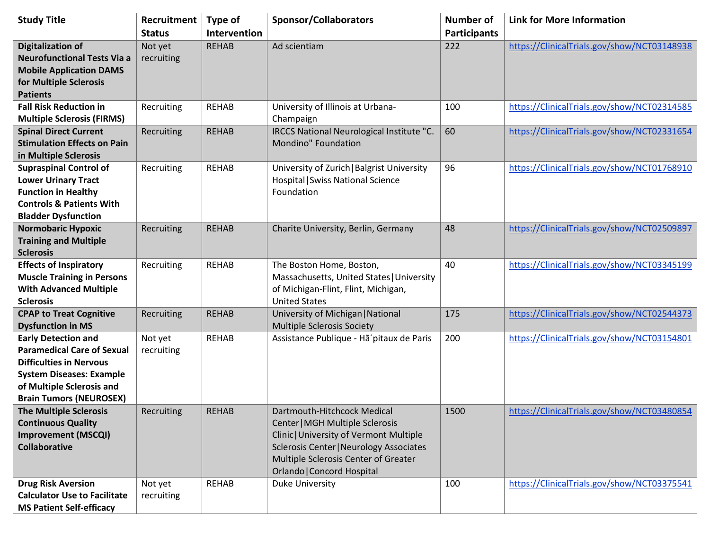| <b>Study Title</b>                                                                                                                                                                                  | Recruitment           | Type of      | <b>Sponsor/Collaborators</b>                                                                                                                                                                                                      | <b>Number of</b>    | <b>Link for More Information</b>            |
|-----------------------------------------------------------------------------------------------------------------------------------------------------------------------------------------------------|-----------------------|--------------|-----------------------------------------------------------------------------------------------------------------------------------------------------------------------------------------------------------------------------------|---------------------|---------------------------------------------|
|                                                                                                                                                                                                     | <b>Status</b>         | Intervention |                                                                                                                                                                                                                                   | <b>Participants</b> |                                             |
| Digitalization of<br><b>Neurofunctional Tests Via a</b><br><b>Mobile Application DAMS</b><br>for Multiple Sclerosis<br><b>Patients</b>                                                              | Not yet<br>recruiting | <b>REHAB</b> | Ad scientiam                                                                                                                                                                                                                      | 222                 | https://ClinicalTrials.gov/show/NCT03148938 |
| <b>Fall Risk Reduction in</b><br><b>Multiple Sclerosis (FIRMS)</b>                                                                                                                                  | Recruiting            | <b>REHAB</b> | University of Illinois at Urbana-<br>Champaign                                                                                                                                                                                    | 100                 | https://ClinicalTrials.gov/show/NCT02314585 |
| <b>Spinal Direct Current</b><br><b>Stimulation Effects on Pain</b><br>in Multiple Sclerosis                                                                                                         | Recruiting            | <b>REHAB</b> | IRCCS National Neurological Institute "C.<br>Mondino" Foundation                                                                                                                                                                  | 60                  | https://ClinicalTrials.gov/show/NCT02331654 |
| <b>Supraspinal Control of</b><br><b>Lower Urinary Tract</b><br><b>Function in Healthy</b><br><b>Controls &amp; Patients With</b><br><b>Bladder Dysfunction</b>                                      | Recruiting            | <b>REHAB</b> | University of Zurich   Balgrist University<br><b>Hospital   Swiss National Science</b><br>Foundation                                                                                                                              | 96                  | https://ClinicalTrials.gov/show/NCT01768910 |
| <b>Normobaric Hypoxic</b><br><b>Training and Multiple</b><br><b>Sclerosis</b>                                                                                                                       | Recruiting            | <b>REHAB</b> | Charite University, Berlin, Germany                                                                                                                                                                                               | 48                  | https://ClinicalTrials.gov/show/NCT02509897 |
| <b>Effects of Inspiratory</b><br><b>Muscle Training in Persons</b><br><b>With Advanced Multiple</b><br><b>Sclerosis</b>                                                                             | Recruiting            | <b>REHAB</b> | The Boston Home, Boston,<br>Massachusetts, United States   University<br>of Michigan-Flint, Flint, Michigan,<br><b>United States</b>                                                                                              | 40                  | https://ClinicalTrials.gov/show/NCT03345199 |
| <b>CPAP to Treat Cognitive</b><br><b>Dysfunction in MS</b>                                                                                                                                          | Recruiting            | <b>REHAB</b> | University of Michigan   National<br><b>Multiple Sclerosis Society</b>                                                                                                                                                            | 175                 | https://ClinicalTrials.gov/show/NCT02544373 |
| <b>Early Detection and</b><br><b>Paramedical Care of Sexual</b><br><b>Difficulties in Nervous</b><br><b>System Diseases: Example</b><br>of Multiple Sclerosis and<br><b>Brain Tumors (NEUROSEX)</b> | Not yet<br>recruiting | <b>REHAB</b> | Assistance Publique - Hã pitaux de Paris                                                                                                                                                                                          | 200                 | https://ClinicalTrials.gov/show/NCT03154801 |
| <b>The Multiple Sclerosis</b><br><b>Continuous Quality</b><br><b>Improvement (MSCQI)</b><br><b>Collaborative</b>                                                                                    | Recruiting            | <b>REHAB</b> | Dartmouth-Hitchcock Medical<br>Center   MGH Multiple Sclerosis<br>Clinic   University of Vermont Multiple<br><b>Sclerosis Center   Neurology Associates</b><br>Multiple Sclerosis Center of Greater<br>Orlando   Concord Hospital | 1500                | https://ClinicalTrials.gov/show/NCT03480854 |
| <b>Drug Risk Aversion</b><br><b>Calculator Use to Facilitate</b><br><b>MS Patient Self-efficacy</b>                                                                                                 | Not yet<br>recruiting | <b>REHAB</b> | <b>Duke University</b>                                                                                                                                                                                                            | 100                 | https://ClinicalTrials.gov/show/NCT03375541 |